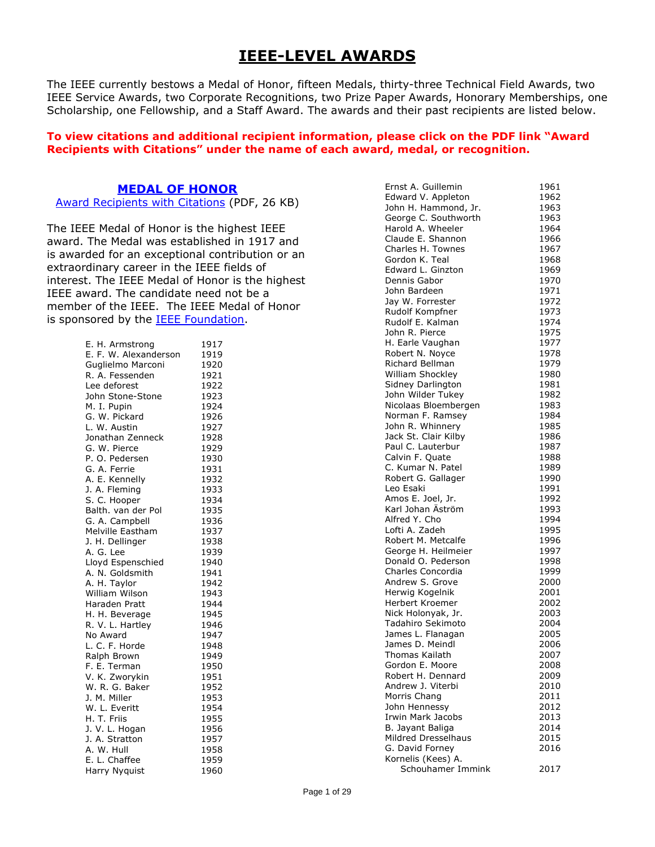# **IEEE-LEVEL AWARDS**

The IEEE currently bestows a Medal of Honor, fifteen Medals, thirty-three Technical Field Awards, two IEEE Service Awards, two Corporate Recognitions, two Prize Paper Awards, Honorary Memberships, one Scholarship, one Fellowship, and a Staff Award. The awards and their past recipients are listed below.

#### **To view citations and additional recipient information, please click on the PDF link "Award Recipients with Citations" under the name of each award, medal, or recognition.**

#### **[MEDAL OF HONOR](https://corporate-awards.ieee.org/corporate-awards/#medals)**

[Award Recipients with Citations](https://www.ieee.org/content/dam/ieee-org/ieee/web/org/about/awards/recipients/moh-rl.pdf) (PDF, 26 KB)

The IEEE Medal of Honor is the highest IEEE award. The Medal was established in 1917 and is awarded for an exceptional contribution or an extraordinary career in the IEEE fields of interest. The IEEE Medal of Honor is the highest IEEE award. The candidate need not be a member of the IEEE. The IEEE Medal of Honor is sponsored by the [IEEE Foundation.](https://www.ieeefoundation.org/)

| E. H. Armstrong              | 1917 |
|------------------------------|------|
| E. F. W. Alexanderson        | 1919 |
| Guglielmo Marconi            | 1920 |
| R. A. Fessenden              | 1921 |
| Lee deforest                 | 1922 |
| John Stone-Stone             | 1923 |
| M. I. Pupin                  | 1924 |
| G. W. Pickard                | 1926 |
| L. W. Austin                 | 1927 |
| Jonathan Zenneck             | 1928 |
| G. W. Pierce                 | 1929 |
| P. O. Pedersen               | 1930 |
| G. A. Ferrie                 | 1931 |
| A. E. Kennelly               | 1932 |
| J. A. Fleming                | 1933 |
| S. C. Hooper                 | 1934 |
| Balth. van der Pol           | 1935 |
| G. A. Campbell               | 1936 |
| Melville Eastham             | 1937 |
| J. H. Dellinger              | 1938 |
| A. G. Lee                    | 1939 |
| Lloyd Espenschied            | 1940 |
| A. N. Goldsmith              | 1941 |
| A. H. Taylor                 | 1942 |
| William Wilson               | 1943 |
| Haraden Pratt                | 1944 |
| H. H. Beverage               | 1945 |
| R. V. L. Hartley             | 1946 |
| No Award                     | 1947 |
| L. C. F. Horde               | 1948 |
| Ralph Brown                  | 1949 |
| F. E. Terman                 | 1950 |
| V. K. Zworykin               | 1951 |
| W. R. G. Baker               | 1952 |
| J. M. Miller                 | 1953 |
| W. L. Everitt<br>H. T. Friis | 1954 |
|                              | 1955 |
| J. V. L. Hogan               | 1956 |
| J. A. Stratton               | 1957 |
| A. W. Hull                   | 1958 |
| E. L. Chaffee                | 1959 |
| Harry Nyquist                | 1960 |
|                              |      |

| Ernst A. Guillemin    | 1961 |
|-----------------------|------|
| Edward V. Appleton    | 1962 |
| John H. Hammond, Jr.  | 1963 |
|                       |      |
| George C. Southworth  | 1963 |
| Harold A. Wheeler     | 1964 |
| Claude E. Shannon     | 1966 |
| Charles H. Townes     | 1967 |
| Gordon K. Teal        |      |
|                       | 1968 |
| Edward L. Ginzton     | 1969 |
| Dennis Gabor          | 1970 |
| John Bardeen          | 1971 |
| Jay W. Forrester      | 1972 |
|                       |      |
| Rudolf Kompfner       | 1973 |
| Rudolf E. Kalman      | 1974 |
| John R. Pierce        | 1975 |
| H. Earle Vaughan      | 1977 |
| Robert N. Noyce       | 1978 |
|                       |      |
| Richard Bellman       | 1979 |
| William Shockley      | 1980 |
| Sidney Darlington     | 1981 |
| John Wilder Tukey     | 1982 |
| Nicolaas Bloembergen  | 1983 |
| Norman F. Ramsev      | 1984 |
|                       |      |
| John R. Whinnery      | 1985 |
| Jack St. Clair Kilby  | 1986 |
| Paul C. Lauterbur     | 1987 |
| Calvin F. Quate       | 1988 |
| C. Kumar N. Patel     | 1989 |
| Robert G. Gallager    | 1990 |
|                       |      |
| Leo Esaki             | 1991 |
| Amos E. Joel, Jr.     | 1992 |
| Karl Johan Äström     | 1993 |
| Alfred Y. Cho         | 1994 |
| Lofti A. Zadeh        | 1995 |
| Robert M. Metcalfe    | 1996 |
| George H. Heilmeier   | 1997 |
|                       |      |
| Donald O. Pederson    | 1998 |
| Charles Concordia     | 1999 |
| Andrew S. Grove       | 2000 |
| Herwig Kogelnik       | 2001 |
| Herbert Kroemer       | 2002 |
| Nick Holonyak, Jr.    | 2003 |
|                       |      |
| Tadahiro Sekimoto     | 2004 |
| James L. Flanagan     | 2005 |
| James D. Meindl       | 2006 |
| <b>Thomas Kailath</b> | 2007 |
| Gordon E. Moore       | 2008 |
| Robert H. Dennard     | 2009 |
| Andrew J. Viterbi     |      |
|                       | 2010 |
| Morris Chang          | 2011 |
| John Hennessy         | 2012 |
| Irwin Mark Jacobs     | 2013 |
| B. Jayant Baliga      | 2014 |
| Mildred Dresselhaus   | 2015 |
| G. David Forney       | 2016 |
|                       |      |
| Kornelis (Kees) A.    |      |
| Schouhamer Immink     | 2017 |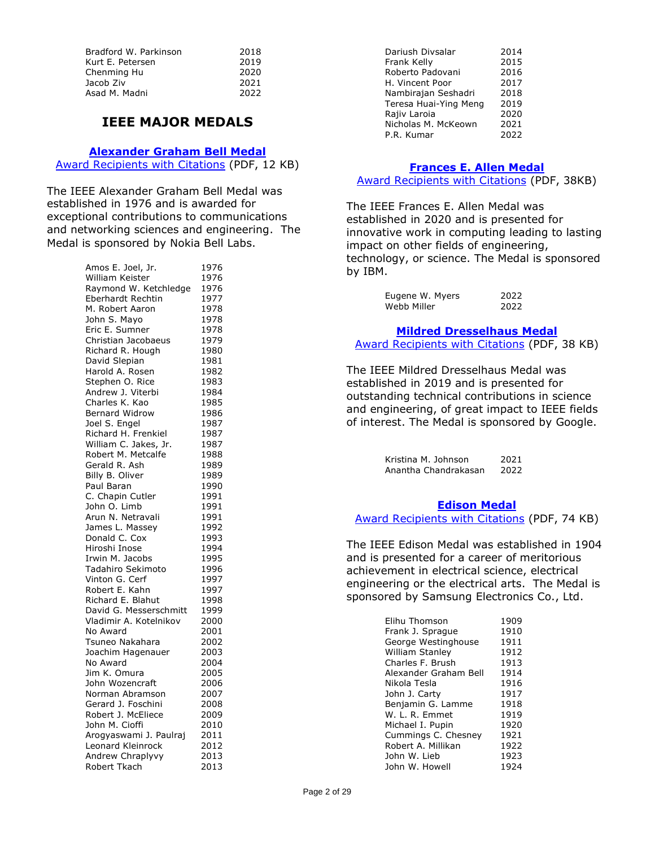| 2018 |
|------|
| 2019 |
| 2020 |
| 2021 |
| 2022 |
|      |

# **IEEE MAJOR MEDALS**

#### **[Alexander Graham Bell Medal](https://corporate-awards.ieee.org/corporate-awards/#medals)**

[Award Recipients with Citations](https://www.ieee.org/content/dam/ieee-org/ieee/web/org/about/awards/recipients/bell-rl.pdf) (PDF, 12 KB)

The IEEE Alexander Graham Bell Medal was established in 1976 and is awarded for exceptional contributions to communications and networking sciences and engineering. The Medal is sponsored by Nokia Bell Labs.

| Amos E. Joel, Jr.                     | 1976         |
|---------------------------------------|--------------|
| William Keister                       | 1976         |
| Raymond W. Ketchledge                 | 1976         |
| Eberhardt Rechtin                     | 1977         |
| M. Robert Aaron                       | 1978         |
| John S. Mayo                          | 1978         |
| Eric E. Sumner                        | 1978         |
| Christian Jacobaeus                   | 1979         |
| Richard R. Hough                      | 1980         |
| David Slepian                         | 1981         |
| Harold A. Rosen                       | 1982         |
| Stephen O. Rice                       | 1983         |
| Andrew J. Viterbi                     | 1984         |
| Charles K. Kao                        | 1985         |
| <b>Bernard Widrow</b>                 | 1986         |
| Joel S. Engel                         | 1987         |
| Richard H. Frenkiel                   | 1987         |
| William C. Jakes, Jr.                 | 1987         |
| Robert M. Metcalfe                    | 1988         |
| Gerald R. Ash                         | 1989         |
| Billy B. Oliver                       | 1989         |
| Paul Baran                            | 1990         |
| C. Chapin Cutler                      | 1991         |
| John O. Limb                          | 1991         |
| Arun N. Netravali                     | 1991         |
| James L. Massey                       | 1992         |
| Donald C. Cox                         | 1993         |
| Hiroshi Inose                         | 1994         |
| Irwin M. Jacobs                       | 1995         |
| Tadahiro Sekimoto                     | 1996         |
| Vinton G. Cerf                        | 1997         |
| Robert E. Kahn                        | 1997         |
| Richard E. Blahut                     | 1998         |
| David G. Messerschmitt                | 1999         |
| Vladimir A. Kotelnikov                | 2000         |
| No Award                              | 2001         |
| Tsuneo Nakahara                       | 2002         |
| Joachim Hagenauer                     | 2003         |
| No Award                              | 2004         |
| Jim K. Omura                          | 2005         |
| John Wozencraft                       | 2006         |
| Norman Abramson<br>Gerard J. Foschini | 2007         |
| Robert J. McEliece                    | 2008<br>2009 |
| John M. Cioffi                        | 2010         |
| Arogyaswami J. Paulraj                | 2011         |
| Leonard Kleinrock                     | 2012         |
| Andrew Chraplyvy                      | 2013         |
| Robert Tkach                          | 2013         |
|                                       |              |

| Dariush Divsalar      | 2014 |
|-----------------------|------|
| Frank Kelly           | 2015 |
| Roberto Padovani      | 2016 |
| H. Vincent Poor       | 2017 |
| Nambirajan Seshadri   | 2018 |
| Teresa Huai-Ying Meng | 2019 |
| Rajiv Laroia          | 2020 |
| Nicholas M. McKeown   | 2021 |
| P.R. Kumar            | 2022 |
|                       |      |

# **[Frances E. Allen Medal](https://corporate-awards.ieee.org/corporate-awards/#medals)**

[Award Recipients with Citations](https://www.ieee.org/content/dam/ieee-org/ieee/web/org/about/awards/recipients/allen-rl.pdf) (PDF, 38KB)

The IEEE Frances E. Allen Medal was established in 2020 and is presented for innovative work in computing leading to lasting impact on other fields of engineering, technology, or science. The Medal is sponsored by IBM.

| Eugene W. Myers | 2022 |
|-----------------|------|
| Webb Miller     | 2022 |

#### **[Mildred Dresselhaus Medal](https://corporate-awards.ieee.org/corporate-awards/#medals)**

[Award Recipients with Citations](https://www.ieee.org/content/dam/ieee-org/ieee/web/org/about/awards/recipients/dresselhaus-rl.pdf) (PDF, 38 KB)

The IEEE Mildred Dresselhaus Medal was established in 2019 and is presented for outstanding technical contributions in science and engineering, of great impact to IEEE fields of interest. The Medal is sponsored by Google.

> Kristina M. Johnson 2021<br>Anantha Chandrakasan 2022 Anantha Chandrakasan

#### **[Edison Medal](https://corporate-awards.ieee.org/corporate-awards/#medals)**

# [Award Recipients with Citations](https://www.ieee.org/content/dam/ieee-org/ieee/web/org/about/awards/recipients/edison-rl.pdf) (PDF, 74 KB)

The IEEE Edison Medal was established in 1904 and is presented for a career of meritorious achievement in electrical science, electrical engineering or the electrical arts. The Medal is sponsored by Samsung Electronics Co., Ltd.

| Elihu Thomson          | 1909 |
|------------------------|------|
| Frank J. Sprague       | 1910 |
| George Westinghouse    | 1911 |
| <b>William Stanley</b> | 1912 |
| Charles F. Brush       | 1913 |
| Alexander Graham Bell  | 1914 |
| Nikola Tesla           | 1916 |
| John J. Carty          | 1917 |
| Benjamin G. Lamme      | 1918 |
| W. L. R. Emmet         | 1919 |
| Michael I. Pupin       | 1920 |
| Cummings C. Chesney    | 1921 |
| Robert A. Millikan     | 1922 |
| John W. Lieb           | 1923 |
| John W. Howell         | 1924 |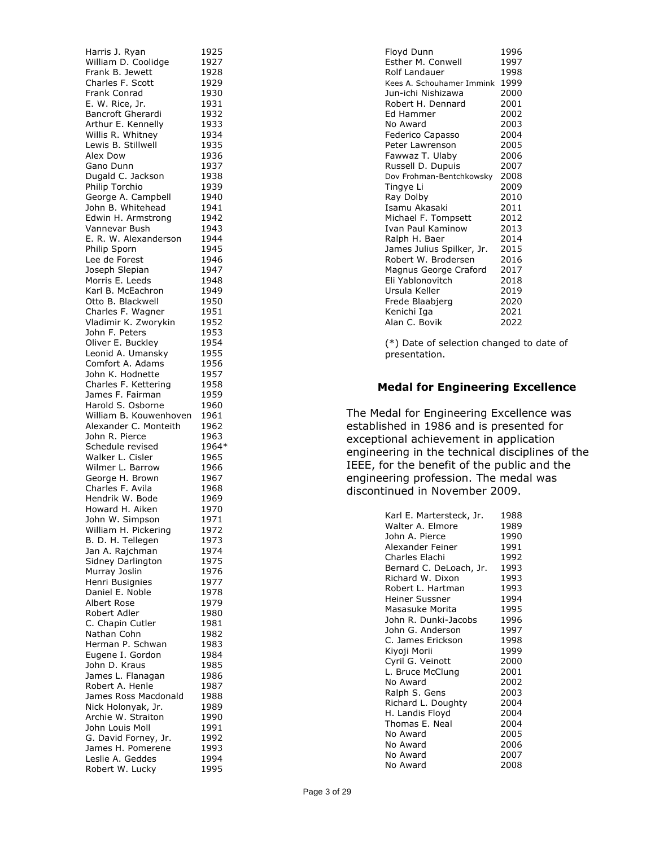Harris J. Ryan 1925 William D. Coolidge 1927 Frank B. Jewett 1928<br>Charles F. Scott 1929 Charles F. Scott 1929<br>Frank Conrad 1930 Frank Conrad E. W. Rice, Jr. 1931 Bancroft Gherardi 1932 Arthur E. Kennelly 1933 Willis R. Whitney 1934 Lewis B. Stillwell 1935 Alex Dow 1936 Gano Dunn 1937 Dugald C. Jackson 1938 Philip Torchio 1939 George A. Campbell 1940 John B. Whitehead 1941 Edwin H. Armstrong 1942 Vannevar Bush 1943 E. R. W. Alexanderson 1944 Philip Sporn 1945 Lee de Forest 1946 Joseph Slepian 1947 Morris E. Leeds 1948 Karl B. McEachron 1949 Otto B. Blackwell 1950 Charles F. Wagner 1951 Vladimir K. Zworykin 1952 John F. Peters 1953 Oliver E. Buckley 1954<br>Leonid A. Umansky 1955 Leonid A. Umansky Comfort A. Adams 1956 John K. Hodnette 1957 Charles F. Kettering 1958 James F. Fairman 1959<br>Harold S. Osborne 1960 Harold S. Osborne William B. Kouwenhoven 1961 Alexander C. Monteith 1962 John R. Pierce 1963 Schedule revised 1964\* Walker L. Cisler 1965 Wilmer L. Barrow 1966 George H. Brown 1967 Charles F. Avila 1968 Hendrik W. Bode 1969 Howard H. Aiken 1970 John W. Simpson 1971 William H. Pickering 1972 B. D. H. Tellegen 1973 Jan A. Rajchman 1974 Sidney Darlington 1975 Murray Joslin 1976 Henri Busignies 1977 Daniel E. Noble 1978 Albert Rose 1979 Robert Adler 1980 C. Chapin Cutler 1981<br>Nathan Cohn 1982 Nathan Cohn Herman P. Schwan 1983 Eugene I. Gordon 1984 John D. Kraus 1985<br>James L. Flanagan 1986 James L. Flanagan Robert A. Henle 1987 James Ross Macdonald 1988 Nick Holonyak, Jr. 1989 Archie W. Straiton 1990 John Louis Moll 1991 G. David Forney, Jr. 1992 James H. Pomerene 1993 Leslie A. Geddes 1994 Robert W. Lucky 1995

| Floyd Dunn                | 1996 |
|---------------------------|------|
| Esther M. Conwell         | 1997 |
| Rolf Landauer             | 1998 |
| Kees A. Schouhamer Immink | 1999 |
| Jun-ichi Nishizawa        | 2000 |
| Robert H. Dennard         | 2001 |
| Ed Hammer                 | 2002 |
| No Award                  | 2003 |
| Federico Capasso          | 2004 |
| Peter Lawrenson           | 2005 |
| Fawwaz T. Ulaby           | 2006 |
| Russell D. Dupuis         | 2007 |
| Dov Frohman-Bentchkowsky  | 2008 |
| Tingye Li                 | 2009 |
| Ray Dolby                 | 2010 |
| Isamu Akasaki             | 2011 |
| Michael F. Tompsett       | 2012 |
| Ivan Paul Kaminow         | 2013 |
| Ralph H. Baer             | 2014 |
| James Julius Spilker, Jr. | 2015 |
| Robert W. Brodersen       | 2016 |
| Magnus George Craford     | 2017 |
| Eli Yablonovitch          | 2018 |
| Ursula Keller             | 2019 |
| Frede Blaabjerg           | 2020 |
| Kenichi Iga               | 2021 |
| Alan C. Bovik             | 2022 |

(\*) Date of selection changed to date of presentation.

#### **Medal for Engineering Excellence**

The Medal for Engineering Excellence was established in 1986 and is presented for exceptional achievement in application engineering in the technical disciplines of the IEEE, for the benefit of the public and the engineering profession. The medal was discontinued in November 2009.

| Karl E. Martersteck, Jr. | 1988 |
|--------------------------|------|
| Walter A. Elmore         | 1989 |
| John A. Pierce           | 1990 |
| Alexander Feiner         | 1991 |
| Charles Elachi           | 1992 |
| Bernard C. DeLoach, Jr.  | 1993 |
| Richard W. Dixon         | 1993 |
| Robert L. Hartman        | 1993 |
| Heiner Sussner           | 1994 |
| Masasuke Morita          | 1995 |
| John R. Dunki-Jacobs     | 1996 |
| John G. Anderson         | 1997 |
| C. James Erickson        | 1998 |
| Kiyoji Morii             | 1999 |
| Cyril G. Veinott         | 2000 |
| L. Bruce McClung         | 2001 |
| No Award                 | 2002 |
| Ralph S. Gens            | 2003 |
| Richard L. Doughty       | 2004 |
| H. Landis Floyd          | 2004 |
| Thomas E. Neal           | 2004 |
| No Award                 | 2005 |
| No Award                 | 2006 |
| No Award                 | 2007 |
| No Award                 | 2008 |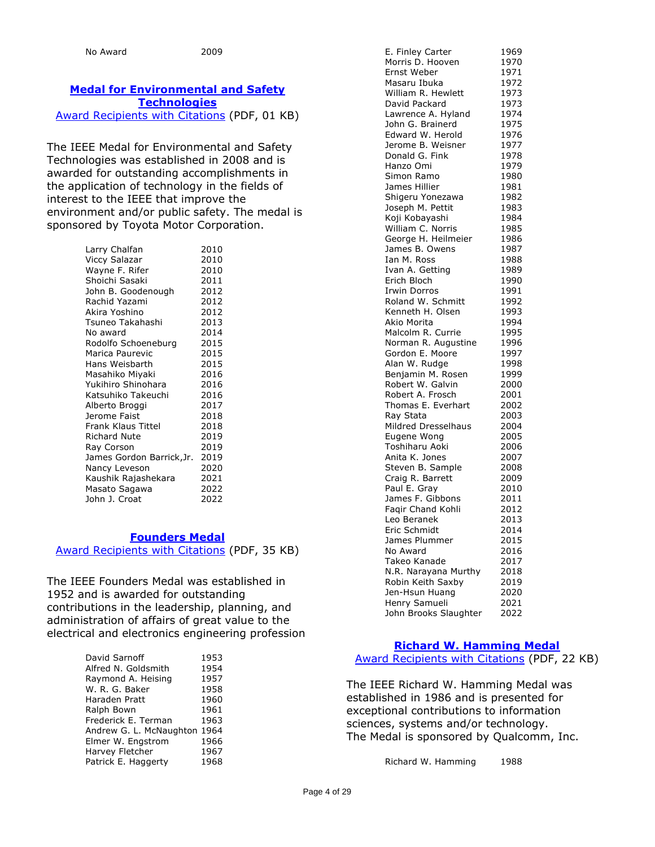# **[Medal for Environmental and](https://corporate-awards.ieee.org/corporate-awards/#medals) Safety [Technologies](https://corporate-awards.ieee.org/corporate-awards/#medals)**

[Award Recipients with Citations](https://www.ieee.org/content/dam/ieee-org/ieee/web/org/about/awards/recipients/env-safety-rl.pdf) (PDF, 01 KB)

The IEEE Medal for Environmental and Safety Technologies was established in 2008 and is awarded for outstanding accomplishments in the application of technology in the fields of interest to the IEEE that improve the environment and/or public safety. The medal is sponsored by Toyota Motor Corporation.

| Larry Chalfan             | 2010 |
|---------------------------|------|
| Viccy Salazar             | 2010 |
| Wayne F. Rifer            | 2010 |
| Shoichi Sasaki            | 2011 |
| John B. Goodenough        | 2012 |
| Rachid Yazami             | 2012 |
| Akira Yoshino             | 2012 |
| Tsuneo Takahashi          | 2013 |
| No award                  | 2014 |
| Rodolfo Schoeneburg       | 2015 |
| Marica Paurevic           | 2015 |
| Hans Weisbarth            | 2015 |
| Masahiko Miyaki           | 2016 |
| Yukihiro Shinohara        | 2016 |
| Katsuhiko Takeuchi        | 2016 |
| Alberto Broggi            | 2017 |
| Jerome Faist              | 2018 |
| Frank Klaus Tittel        | 2018 |
| <b>Richard Nute</b>       | 2019 |
| Ray Corson                | 2019 |
| James Gordon Barrick, Jr. | 2019 |
| Nancy Leveson             | 2020 |
| Kaushik Rajashekara       | 2021 |
| Masato Sagawa             | 2022 |
| John J. Croat             | 2022 |

#### **[Founders Medal](https://corporate-awards.ieee.org/corporate-awards/#medals)**

[Award Recipients with Citations](https://www.ieee.org/content/dam/ieee-org/ieee/web/org/about/awards/recipients/founders-rl.pdf) (PDF, 35 KB)

The IEEE Founders Medal was established in 1952 and is awarded for outstanding contributions in the leadership, planning, and administration of affairs of great value to the electrical and electronics engineering profession

| David Sarnoff                | 1953 |
|------------------------------|------|
| Alfred N. Goldsmith          | 1954 |
| Raymond A. Heising           | 1957 |
| W. R. G. Baker               | 1958 |
| Haraden Pratt                | 1960 |
| Ralph Bown                   | 1961 |
| Frederick E. Terman          | 1963 |
| Andrew G. L. McNaughton 1964 |      |
| Elmer W. Engstrom            | 1966 |
| Harvey Fletcher              | 1967 |
| Patrick E. Haggerty          | 1968 |
|                              |      |

| E. Finley Carter      | 1969 |
|-----------------------|------|
| Morris D. Hooven      |      |
|                       | 1970 |
| Ernst Weber           | 1971 |
| Masaru Ibuka          | 1972 |
| William R. Hewlett    | 1973 |
| David Packard         | 1973 |
| Lawrence A. Hyland    | 1974 |
| John G. Brainerd      | 1975 |
| Edward W. Herold      | 1976 |
| Jerome B. Weisner     |      |
|                       | 1977 |
| Donald G. Fink        | 1978 |
| Hanzo Omi             | 1979 |
| Simon Ramo            | 1980 |
| James Hillier         | 1981 |
| Shigeru Yonezawa      | 1982 |
| Joseph M. Pettit      | 1983 |
| Koji Kobayashi        | 1984 |
| William C. Norris     |      |
|                       | 1985 |
| George H. Heilmeier   | 1986 |
| James B. Owens        | 1987 |
| Ian M. Ross           | 1988 |
| Ivan A. Getting       | 1989 |
| Erich Bloch           | 1990 |
| <b>Irwin Dorros</b>   | 1991 |
| Roland W. Schmitt     | 1992 |
| Kenneth H. Olsen      |      |
|                       | 1993 |
| Akio Morita           | 1994 |
| Malcolm R. Currie     | 1995 |
| Norman R. Augustine   | 1996 |
| Gordon E. Moore       | 1997 |
| Alan W. Rudge         | 1998 |
| Benjamin M. Rosen     | 1999 |
| Robert W. Galvin      | 2000 |
| Robert A. Frosch      | 2001 |
| Thomas E. Everhart    | 2002 |
| Ray Stata             | 2003 |
|                       |      |
| Mildred Dresselhaus   | 2004 |
| Eugene Wong           | 2005 |
| Toshiharu Aoki        | 2006 |
| Anita K. Jones        | 2007 |
| Steven B. Sample      | 2008 |
| Craig R. Barrett      | 2009 |
| Paul E. Gray          | 2010 |
| James F. Gibbons      | 2011 |
| Faqir Chand Kohli     | 2012 |
|                       |      |
| Leo Beranek           | 2013 |
| Eric Schmidt          | 2014 |
| James Plummer         | 2015 |
| No Award              | 2016 |
| Takeo Kanade          | 2017 |
| N.R. Narayana Murthy  | 2018 |
| Robin Keith Saxby     | 2019 |
| Jen-Hsun Huang        | 2020 |
| Henry Samueli         | 2021 |
|                       |      |
| John Brooks Slaughter | 2022 |

## **[Richard W. Hamming Medal](https://corporate-awards.ieee.org/corporate-awards/#medals)** [Award Recipients with Citations](https://www.ieee.org/content/dam/ieee-org/ieee/web/org/about/awards/recipients/hamming-rl.pdf) (PDF, 22 KB)

The IEEE Richard W. Hamming Medal was established in 1986 and is presented for exceptional contributions to information sciences, systems and/or technology. The Medal is sponsored by Qualcomm, Inc.

Richard W. Hamming 1988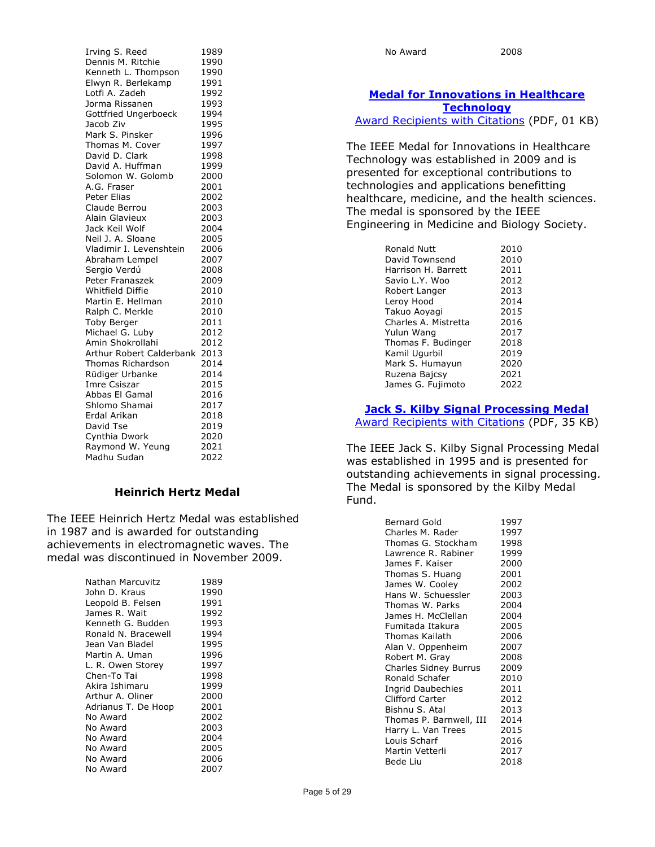| Irving S. Reed           | 1989 |
|--------------------------|------|
| Dennis M. Ritchie        | 1990 |
| Kenneth L. Thompson      | 1990 |
| Elwyn R. Berlekamp       | 1991 |
| Lotfi A. Zadeh           | 1992 |
| Jorma Rissanen           | 1993 |
| Gottfried Ungerboeck     | 1994 |
| Jacob Ziv                | 1995 |
| Mark S. Pinsker          | 1996 |
| Thomas M. Cover          | 1997 |
| David D. Clark           | 1998 |
| David A. Huffman         | 1999 |
| Solomon W. Golomb        | 2000 |
| A.G. Fraser              | 2001 |
| <b>Peter Elias</b>       | 2002 |
| Claude Berrou            | 2003 |
| Alain Glavieux           | 2003 |
| Jack Keil Wolf           | 2004 |
| Neil J. A. Sloane        | 2005 |
| Vladimir I. Levenshtein  | 2006 |
| Abraham Lempel           | 2007 |
| Sergio Verdú             | 2008 |
| <b>Peter Franaszek</b>   | 2009 |
| <b>Whitfield Diffie</b>  | 2010 |
| Martin E. Hellman        | 2010 |
| Ralph C. Merkle          | 2010 |
| Toby Berger              | 2011 |
| Michael G. Luby          | 2012 |
| Amin Shokrollahi         | 2012 |
| Arthur Robert Calderbank | 2013 |
| <b>Thomas Richardson</b> | 2014 |
| Rüdiger Urbanke          | 2014 |
| Imre Csiszar             | 2015 |
| Abbas El Gamal           | 2016 |
| Shlomo Shamai            | 2017 |
| Erdal Arikan             | 2018 |
| David Tse                | 2019 |
| Cynthia Dwork            | 2020 |
| Raymond W. Yeung         | 2021 |
| Madhu Sudan              | 2022 |

## **Heinrich Hertz Medal**

The IEEE Heinrich Hertz Medal was established in 1987 and is awarded for outstanding achievements in electromagnetic waves. The medal was discontinued in November 2009.

| Nathan Marcuvitz    | 1989 |
|---------------------|------|
| John D. Kraus       | 1990 |
| Leopold B. Felsen   | 1991 |
| James R. Wait       | 1992 |
| Kenneth G. Budden   | 1993 |
| Ronald N. Bracewell | 1994 |
| Jean Van Bladel     | 1995 |
| Martin A. Uman      | 1996 |
| L. R. Owen Storey   | 1997 |
| Chen-To Tai         | 1998 |
| Akira Ishimaru      | 1999 |
| Arthur A. Oliner    | 2000 |
| Adrianus T. De Hoop | 2001 |
| No Award            | 2002 |
| No Award            | 2003 |
| No Award            | 2004 |
| No Award            | 2005 |
| No Award            | 2006 |
| No Award            | 2007 |

# **[Medal for Innovations in Healthcare](https://corporate-awards.ieee.org/corporate-awards/#medals)  [Technology](https://corporate-awards.ieee.org/corporate-awards/#medals)**

[Award Recipients with Citations](https://www.ieee.org/content/dam/ieee-org/ieee/web/org/about/awards/recipients/healthcare-rl.pdf) (PDF, 01 KB)

The IEEE Medal for Innovations in Healthcare Technology was established in 2009 and is presented for exceptional contributions to technologies and applications benefitting healthcare, medicine, and the health sciences. The medal is sponsored by the IEEE Engineering in Medicine and Biology Society.

| Ronald Nutt          | 2010 |
|----------------------|------|
| David Townsend       | 2010 |
| Harrison H. Barrett  | 2011 |
| Savio L.Y. Woo       | 2012 |
| Robert Langer        | 2013 |
| Leroy Hood           | 2014 |
| Takuo Aoyagi         | 2015 |
| Charles A. Mistretta | 2016 |
| Yulun Wang           | 2017 |
| Thomas F. Budinger   | 2018 |
| Kamil Ugurbil        | 2019 |
| Mark S. Humayun      | 2020 |
| Ruzena Bajcsy        | 2021 |
| James G. Fujimoto    | 2022 |

#### **[Jack S. Kilby Signal Processing Medal](https://corporate-awards.ieee.org/corporate-awards/#medals)**

[Award Recipients with Citations](https://www.ieee.org/content/dam/ieee-org/ieee/web/org/about/awards/recipients/kilby-rl.pdf) (PDF, 35 KB)

The IEEE Jack S. Kilby Signal Processing Medal was established in 1995 and is presented for outstanding achievements in signal processing. The Medal is sponsored by the Kilby Medal Fund.

| <b>Bernard Gold</b>      | 1997 |
|--------------------------|------|
| Charles M. Rader         | 1997 |
| Thomas G. Stockham       | 1998 |
| Lawrence R. Rabiner      | 1999 |
| James F. Kaiser          | 2000 |
| Thomas S. Huang          | 2001 |
| James W. Cooley          | 2002 |
| Hans W. Schuessler       | 2003 |
| Thomas W. Parks          | 2004 |
| James H. McClellan       | 2004 |
| Fumitada Itakura         | 2005 |
| Thomas Kailath           | 2006 |
| Alan V. Oppenheim        | 2007 |
| Robert M. Gray           | 2008 |
| Charles Sidney Burrus    | 2009 |
| Ronald Schafer           | 2010 |
| <b>Ingrid Daubechies</b> | 2011 |
| <b>Clifford Carter</b>   | 2012 |
| Bishnu S. Atal           | 2013 |
| Thomas P. Barnwell, III  | 2014 |
| Harry L. Van Trees       | 2015 |
| Louis Scharf             | 2016 |
| Martin Vetterli          | 2017 |
| Bede Liu                 | 2018 |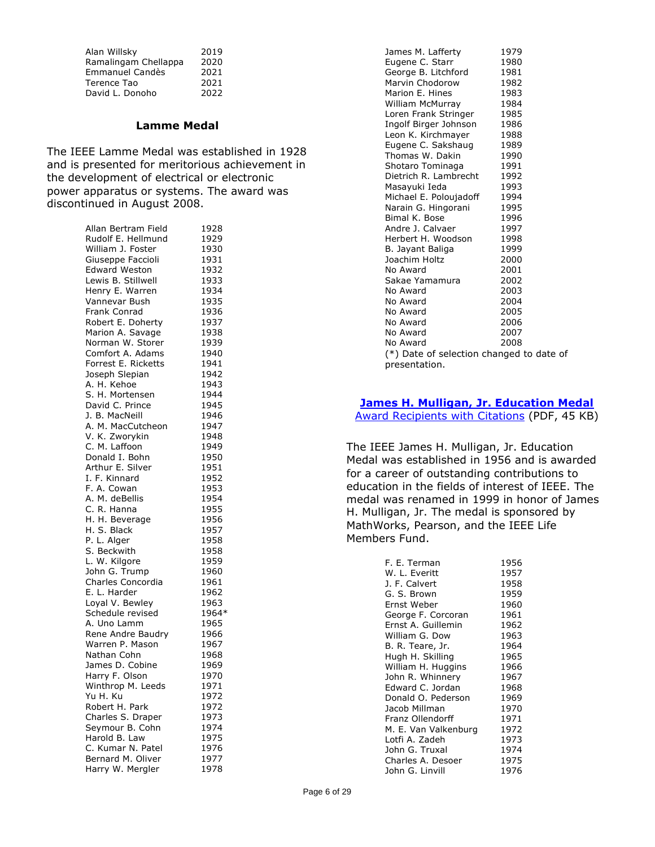| Alan Willsky         | 2019 |
|----------------------|------|
| Ramalingam Chellappa | 2020 |
| Emmanuel Candès      | 2021 |
| Terence Tao          | 2021 |
| David L. Donoho      | 2022 |

#### **Lamme Medal**

The IEEE Lamme Medal was established in 1928 and is presented for meritorious achievement in the development of electrical or electronic power apparatus or systems. The award was discontinued in August 2008.

| Allan Bertram Field  | 1928  |
|----------------------|-------|
| Rudolf E. Hellmund   | 1929  |
| William J. Foster    | 1930  |
| Giuseppe Faccioli    | 1931  |
| <b>Edward Weston</b> | 1932  |
| Lewis B. Stillwell   | 1933  |
| Henry E. Warren      | 1934  |
| Vannevar Bush        | 1935  |
|                      |       |
| Frank Conrad         | 1936  |
| Robert E. Doherty    | 1937  |
| Marion A. Savage     | 1938  |
| Norman W. Storer     | 1939  |
| Comfort A. Adams     | 1940  |
| Forrest E. Ricketts  | 1941  |
| Joseph Slepian       | 1942  |
| A. H. Kehoe          | 1943  |
| S. H. Mortensen      | 1944  |
| David C. Prince      | 1945  |
| J. B. MacNeill       | 1946  |
| A. M. MacCutcheon    | 1947  |
| V. K. Zworykin       | 1948  |
| C. M. Laffoon        | 1949  |
| Donald I. Bohn       | 1950  |
| Arthur E. Silver     | 1951  |
| I. F. Kinnard        | 1952  |
| F. A. Cowan          | 1953  |
| A. M. deBellis       | 1954  |
| C. R. Hanna          | 1955  |
| H. H. Beverage       | 1956  |
| H. S. Black          | 1957  |
| P. L. Alger          | 1958  |
| S. Beckwith          | 1958  |
| L. W. Kilgore        | 1959  |
|                      |       |
| John G. Trump        | 1960  |
| Charles Concordia    | 1961  |
| E. L. Harder         | 1962  |
| Loyal V. Bewley      | 1963  |
| Schedule revised     | 1964* |
| A. Uno Lamm          | 1965  |
| Rene Andre Baudry    | 1966  |
| Warren P. Mason      | 1967  |
| Nathan Cohn          | 1968  |
| James D. Cobine      | 1969  |
| Harry F. Olson       | 1970  |
| Winthrop M. Leeds    | 1971  |
| Yu H. Ku             | 1972  |
| Robert H. Park       | 1972  |
| Charles S. Draper    | 1973  |
| Seymour B. Cohn      | 1974  |
| Harold B. Law        | 1975  |
| C. Kumar N. Patel    | 1976  |
| Bernard M. Oliver    | 1977  |
| Harry W. Mergler     | 1978  |

| James M. Lafferty                        | 1979 |
|------------------------------------------|------|
| Eugene C. Starr                          | 1980 |
| George B. Litchford                      | 1981 |
| Marvin Chodorow                          | 1982 |
| Marion E. Hines                          | 1983 |
| William McMurray                         | 1984 |
| Loren Frank Stringer                     | 1985 |
| Ingolf Birger Johnson                    | 1986 |
| Leon K. Kirchmayer                       | 1988 |
| Eugene C. Sakshaug                       | 1989 |
| Thomas W. Dakin                          | 1990 |
| Shotaro Tominaga                         | 1991 |
| Dietrich R. Lambrecht                    | 1992 |
| Masayuki Ieda                            | 1993 |
| Michael E. Poloujadoff                   | 1994 |
| Narain G. Hingorani                      | 1995 |
| Bimal K. Bose                            | 1996 |
| Andre J. Calvaer                         | 1997 |
| Herbert H. Woodson                       | 1998 |
| B. Jayant Baliga                         | 1999 |
| Joachim Holtz                            | 2000 |
| No Award                                 | 2001 |
| Sakae Yamamura                           | 2002 |
| No Award                                 | 2003 |
| No Award                                 | 2004 |
| No Award                                 | 2005 |
| No Award                                 | 2006 |
| No Award                                 | 2007 |
| No Award                                 | 2008 |
| (*) Date of selection changed to date of |      |
| presentation.                            |      |

# **[James H. Mulligan, Jr. Education Medal](https://corporate-awards.ieee.org/corporate-awards/#medals)**

[Award Recipients](https://www.ieee.org/content/dam/ieee-org/ieee/web/org/about/awards/recipients/education-rl.pdf) with Citations (PDF, 45 KB)

The IEEE James H. Mulligan, Jr. Education Medal was established in 1956 and is awarded for a career of outstanding contributions to education in the fields of interest of IEEE. The medal was renamed in 1999 in honor of James H. Mulligan, Jr. The medal is sponsored by MathWorks, Pearson, and the IEEE Life Members Fund.

| F. E. Terman         | 1956 |
|----------------------|------|
| W. L. Everitt        | 1957 |
| J. F. Calvert        | 1958 |
| G. S. Brown          | 1959 |
| Ernst Weber          | 1960 |
| George F. Corcoran   | 1961 |
| Ernst A. Guillemin   | 1962 |
| William G. Dow       | 1963 |
| B. R. Teare, Jr.     | 1964 |
| Hugh H. Skilling     | 1965 |
| William H. Huggins   | 1966 |
| John R. Whinnery     | 1967 |
| Edward C. Jordan     | 1968 |
| Donald O. Pederson   | 1969 |
| Jacob Millman        | 1970 |
| Franz Ollendorff     | 1971 |
| M. E. Van Valkenburg | 1972 |
| Lotfi A. Zadeh       | 1973 |
| John G. Truxal       | 1974 |
| Charles A. Desoer    | 1975 |
| John G. Linvill      | 1976 |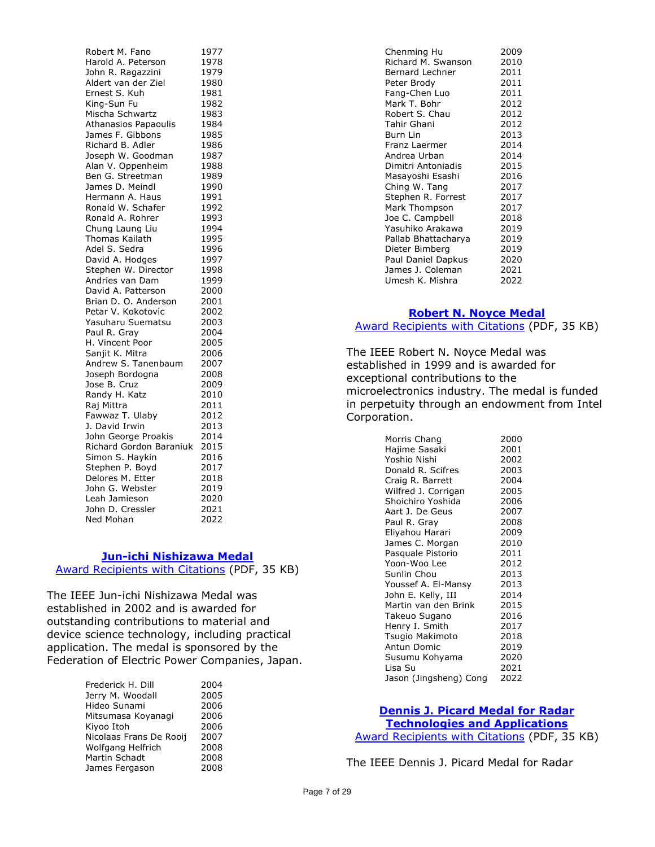Robert M. Fano 1977 Harold A. Peterson 1978 John R. Ragazzini 1979 Aldert van der Ziel 1980 Ernest S. Kuh 1981 King-Sun Fu 1982 Mischa Schwartz 1983 Athanasios Papaoulis 1984 James F. Gibbons 1985 Richard B. Adler 1986 Joseph W. Goodman 1987 Alan V. Oppenheim 1988 Ben G. Streetman 1989 James D. Meindl 1990 Hermann A. Haus 1991 Ronald W. Schafer 1992 Ronald A. Rohrer 1993 Chung Laung Liu 1994 Thomas Kailath 1995 Adel S. Sedra 1996 David A. Hodges 1997 Stephen W. Director 1998 Andries van Dam 1999 David A. Patterson 2000 Brian D. O. Anderson 2001 Petar V. Kokotovic 2002 Yasuharu Suematsu 2003 Paul R. Gray 2004 H. Vincent Poor 2005 Sanjit K. Mitra 2006 Andrew S. Tanenbaum 2007 Joseph Bordogna 2008 Jose B. Cruz 2009 Randy H. Katz 2010 Raj Mittra 2011 Fawwaz T. Ulaby 2012 J. David Irwin 2013 John George Proakis 2014 Richard Gordon Baraniuk 2015 Simon S. Haykin 2016 Stephen P. Boyd 2017 Delores M. Etter 2018 John G. Webster 2019 Leah Jamieson 2020 John D. Cressler 2021 Ned Mohan 2022

#### **[Jun-ichi Nishizawa Medal](https://corporate-awards.ieee.org/corporate-awards/#medals)**

[Award Recipients with Citations](https://www.ieee.org/content/dam/ieee-org/ieee/web/org/about/awards/recipients/nishizawa-rl.pdf) (PDF, 35 KB)

The IEEE Jun-ichi Nishizawa Medal was established in 2002 and is awarded for outstanding contributions to material and device science technology, including practical application. The medal is sponsored by the Federation of Electric Power Companies, Japan.

| Frederick H. Dill       | 2004 |
|-------------------------|------|
| Jerry M. Woodall        | 2005 |
| Hideo Sunami            | 2006 |
| Mitsumasa Koyanagi      | 2006 |
| Kiyoo Itoh              | 2006 |
| Nicolaas Frans De Rooij | 2007 |
| Wolfgang Helfrich       | 2008 |
| Martin Schadt           | 2008 |
| James Fergason          | 2008 |
|                         |      |

| Chenming Hu         | 2009 |
|---------------------|------|
| Richard M. Swanson  | 2010 |
| Bernard Lechner     | 2011 |
| Peter Brody         | 2011 |
| Fang-Chen Luo       | 2011 |
| Mark T. Bohr        | 2012 |
| Robert S. Chau      | 2012 |
| Tahir Ghani         | 2012 |
| Burn Lin            | 2013 |
| Franz Laermer       | 2014 |
| Andrea Urban        | 2014 |
| Dimitri Antoniadis  | 2015 |
| Masayoshi Esashi    | 2016 |
| Ching W. Tang       | 2017 |
| Stephen R. Forrest  | 2017 |
| Mark Thompson       | 2017 |
| Joe C. Campbell     | 2018 |
| Yasuhiko Arakawa    | 2019 |
| Pallab Bhattacharya | 2019 |
| Dieter Bimberg      | 2019 |
| Paul Daniel Dapkus  | 2020 |
| James J. Coleman    | 2021 |
| Umesh K. Mishra     | 2022 |
|                     |      |

# **[Robert N. Noyce Medal](https://corporate-awards.ieee.org/corporate-awards/#medals)** [Award Recipients with Citations](https://www.ieee.org/content/dam/ieee-org/ieee/web/org/about/awards/recipients/noyce-rl.pdf) (PDF, 35 KB)

The IEEE Robert N. Noyce Medal was established in 1999 and is awarded for exceptional contributions to the microelectronics industry. The medal is funded in perpetuity through an endowment from Intel Corporation.

| Morris Chang           | 2000 |
|------------------------|------|
| Hajime Sasaki          | 2001 |
| Yoshio Nishi           | 2002 |
| Donald R. Scifres      | 2003 |
| Craig R. Barrett       | 2004 |
| Wilfred J. Corrigan    | 2005 |
| Shoichiro Yoshida      | 2006 |
| Aart J. De Geus        | 2007 |
| Paul R. Gray           | 2008 |
| Eliyahou Harari        | 2009 |
| James C. Morgan        | 2010 |
| Pasquale Pistorio      | 2011 |
| Yoon-Woo Lee           | 2012 |
| Sunlin Chou            | 2013 |
| Youssef A. El-Mansy    | 2013 |
| John E. Kelly, III     | 2014 |
| Martin van den Brink   | 2015 |
| Takeuo Sugano          | 2016 |
| Henry I. Smith         | 2017 |
| Tsugio Makimoto        | 2018 |
| Antun Domic            | 2019 |
| Susumu Kohyama         | 2020 |
| Lisa Su                | 2021 |
| Jason (Jingsheng) Cong | 2022 |

## **[Dennis J. Picard Medal for Radar](https://corporate-awards.ieee.org/corporate-awards/#medals)**

**[Technologies and Applications](https://corporate-awards.ieee.org/corporate-awards/#medals)** [Award Recipients with Citations](https://www.ieee.org/content/dam/ieee-org/ieee/web/org/about/awards/recipients/picard-rl.pdf) (PDF, 35 KB)

The IEEE Dennis J. Picard Medal for Radar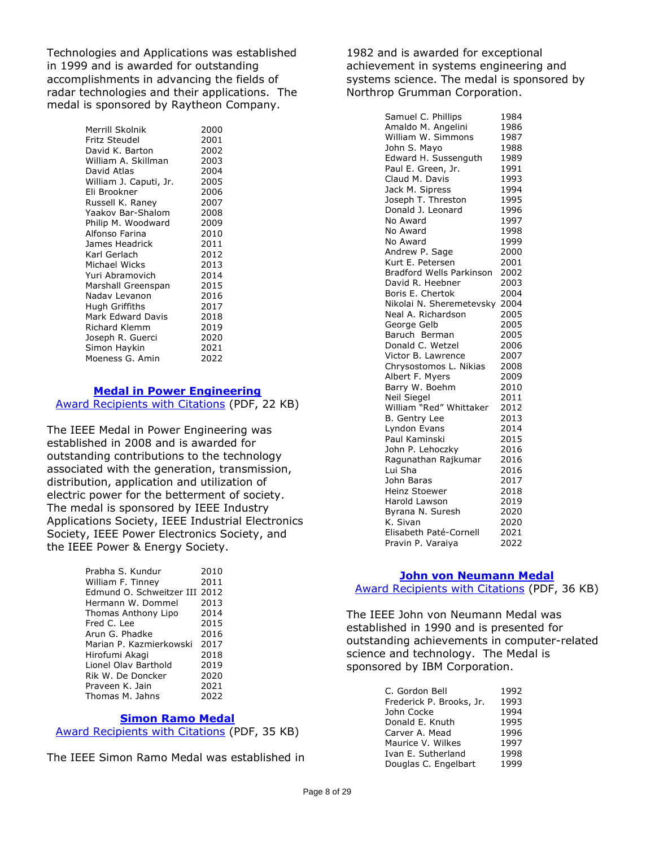Technologies and Applications was established in 1999 and is awarded for outstanding accomplishments in advancing the fields of radar technologies and their applications. The medal is sponsored by Raytheon Company.

> Merrill Skolnik 2000 Fritz Steudel 2001 David K. Barton 2002 William A. Skillman 2003 David Atlas 1988 2004<br>William J. Caputi, Jr. 2005 William J. Caputi, Jr. Eli Brookner 2006 Russell K. Raney 2007<br>Yaakov Bar-Shalom 2008 Yaakov Bar-Shalom 2008<br>Philip M. Woodward 2009 Philip M. Woodward Alfonso Farina (2010)<br>James Headrick (2011) James Headrick Karl Gerlach 2012 Michael Wicks 2013 Yuri Abramovich 2014 Marshall Greenspan 2015 Nadav Levanon 2016 Hugh Griffiths 2017 Mark Edward Davis 2018 Richard Klemm 2019 Joseph R. Guerci 2020 Simon Haykin 2021 Moeness G. Amin 2022

#### **[Medal in Power Engineering](https://corporate-awards.ieee.org/corporate-awards/#medals)**

[Award Recipients with Citations](https://www.ieee.org/content/dam/ieee-org/ieee/web/org/about/awards/recipients/pwr-engrg-rl.pdf) (PDF, 22 KB)

The IEEE Medal in Power Engineering was established in 2008 and is awarded for outstanding contributions to the technology associated with the generation, transmission, distribution, application and utilization of electric power for the betterment of society. The medal is sponsored by IEEE Industry Applications Society, IEEE Industrial Electronics Society, IEEE Power Electronics Society, and the IEEE Power & Energy Society.

| Prabha S. Kundur              | 2010 |
|-------------------------------|------|
| William F. Tinney             | 2011 |
| Edmund O. Schweitzer III 2012 |      |
| Hermann W. Dommel             | 2013 |
| Thomas Anthony Lipo           | 2014 |
| Fred C. Lee                   | 2015 |
| Arun G. Phadke                | 2016 |
| Marian P. Kazmierkowski       | 2017 |
| Hirofumi Akagi                | 2018 |
| Lionel Olav Barthold          | 2019 |
| Rik W. De Doncker             | 2020 |
| Praveen K. Jain               | 2021 |
| Thomas M. Jahns               | 2022 |
|                               |      |

#### **[Simon Ramo Medal](https://corporate-awards.ieee.org/corporate-awards/#medals)**

[Award Recipients with Citations](https://www.ieee.org/content/dam/ieee-org/ieee/web/org/about/awards/recipients/ramo-rl.pdf) (PDF, 35 KB)

The IEEE Simon Ramo Medal was established in

1982 and is awarded for exceptional achievement in systems engineering and systems science. The medal is sponsored by Northrop Grumman Corporation.

| Samuel C. Phillips              | 1984 |
|---------------------------------|------|
| Amaldo M. Angelini              | 1986 |
| William W. Simmons              | 1987 |
| John S. Mayo                    | 1988 |
| Edward H. Sussenguth            | 1989 |
| Paul E. Green, Jr.              | 1991 |
| Claud M. Davis                  | 1993 |
| Jack M. Sipress                 | 1994 |
| Joseph T. Threston              | 1995 |
| Donald J. Leonard               | 1996 |
| No Award                        | 1997 |
| No Award                        | 1998 |
| No Award                        | 1999 |
| Andrew P. Sage                  | 2000 |
| Kurt E. Petersen                | 2001 |
| <b>Bradford Wells Parkinson</b> | 2002 |
| David R. Heebner                | 2003 |
| Boris E. Chertok                | 2004 |
| Nikolai N. Sheremetevsky        | 2004 |
| Neal A. Richardson              | 2005 |
| George Gelb                     | 2005 |
| Baruch Berman                   | 2005 |
| Donald C. Wetzel                | 2006 |
| Victor B. Lawrence              | 2007 |
| Chrysostomos L. Nikias          | 2008 |
| Albert F. Myers                 | 2009 |
| Barry W. Boehm                  | 2010 |
| Neil Siegel                     | 2011 |
| William "Red" Whittaker         | 2012 |
| B. Gentry Lee                   | 2013 |
| Lyndon Evans                    | 2014 |
| Paul Kaminski                   | 2015 |
| John P. Lehoczky                | 2016 |
| Ragunathan Rajkumar             | 2016 |
| Lui Sha                         | 2016 |
| John Baras                      | 2017 |
| Heinz Stoewer                   | 2018 |
| <b>Harold Lawson</b>            | 2019 |
| Byrana N. Suresh                | 2020 |
| K. Sivan                        | 2020 |
| Elisabeth Paté-Cornell          | 2021 |
| Pravin P. Varaiya               | 2022 |

#### **[John von Neumann Medal](https://corporate-awards.ieee.org/corporate-awards/#medals)**

[Award Recipients with Citations](https://www.ieee.org/content/dam/ieee-org/ieee/web/org/about/awards/recipients/von-neumann_rl.pdf) (PDF, 36 KB)

The IEEE John von Neumann Medal was established in 1990 and is presented for outstanding achievements in computer-related science and technology. The Medal is sponsored by IBM Corporation.

| C. Gordon Bell           | 1992 |
|--------------------------|------|
| Frederick P. Brooks, Jr. | 1993 |
| John Cocke               | 1994 |
| Donald E. Knuth          | 1995 |
| Carver A. Mead           | 1996 |
| Maurice V. Wilkes        | 1997 |
| Ivan E. Sutherland       | 1998 |
| Douglas C. Engelbart     | 1999 |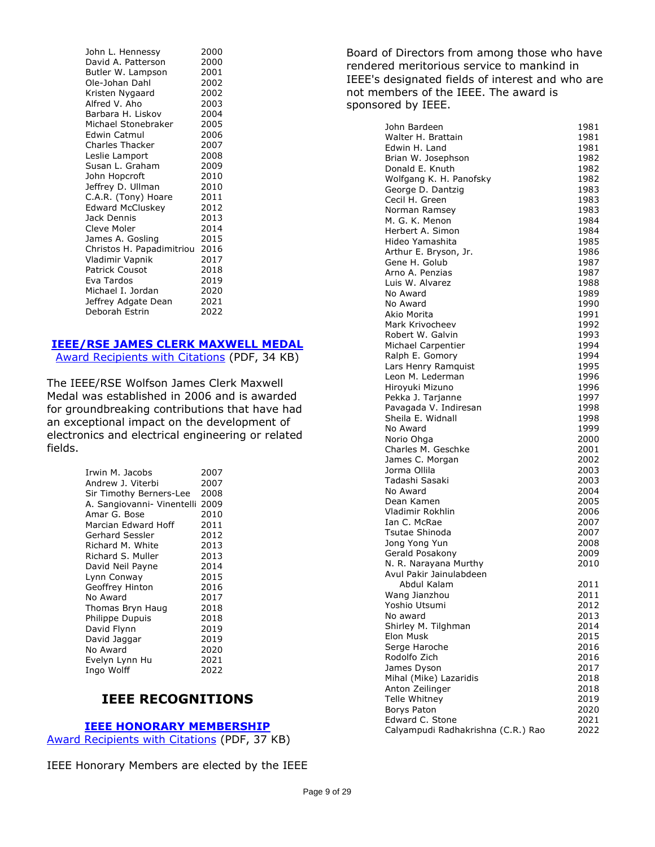| John L. Hennessy          | 2000 |
|---------------------------|------|
| David A. Patterson        | 2000 |
| Butler W. Lampson         | 2001 |
| Ole-Johan Dahl            | 2002 |
| Kristen Nygaard           | 2002 |
| Alfred V. Aho             | 2003 |
| Barbara H. Liskov         | 2004 |
| Michael Stonebraker       | 2005 |
| Edwin Catmul              | 2006 |
| <b>Charles Thacker</b>    | 2007 |
| Leslie Lamport            | 2008 |
| Susan L. Graham           | 2009 |
| John Hopcroft             | 2010 |
| Jeffrey D. Ullman         | 2010 |
| C.A.R. (Tony) Hoare       | 2011 |
| <b>Edward McCluskey</b>   | 2012 |
| Jack Dennis               | 2013 |
| Cleve Moler               | 2014 |
| James A. Gosling          | 2015 |
| Christos H. Papadimitriou | 2016 |
| Vladimir Vapnik           | 2017 |
| <b>Patrick Cousot</b>     | 2018 |
| Eva Tardos                | 2019 |
| Michael I. Jordan         | 2020 |
| Jeffrey Adgate Dean       | 2021 |
| Deborah Estrin            | 2022 |

#### **[IEEE/RSE JAMES CLERK MAXWELL MEDAL](https://corporate-awards.ieee.org/corporate-awards/#medals)**

[Award Recipients with Citations](https://www.ieee.org/content/dam/ieee-org/ieee/web/org/about/awards/recipients/maxwell-rl.pdf) (PDF, 34 KB)

The IEEE/RSE Wolfson James Clerk Maxwell Medal was established in 2006 and is awarded for groundbreaking contributions that have had an exceptional impact on the development of electronics and electrical engineering or related fields.

| Irwin M. Jacobs                 | 2007 |
|---------------------------------|------|
| Andrew J. Viterbi               | 2007 |
| Sir Timothy Berners-Lee         | 2008 |
| A. Sangiovanni- Vinentelli 2009 |      |
| Amar G. Bose                    | 2010 |
| Marcian Edward Hoff             | 2011 |
| Gerhard Sessler                 | 2012 |
| Richard M. White                | 2013 |
| Richard S. Muller               | 2013 |
| David Neil Payne                | 2014 |
| Lynn Conway                     | 2015 |
| Geoffrey Hinton                 | 2016 |
| No Award                        | 2017 |
| Thomas Bryn Haug                | 2018 |
| <b>Philippe Dupuis</b>          | 2018 |
| David Flynn                     | 2019 |
| David Jaggar                    | 2019 |
| No Award                        | 2020 |
| Evelyn Lynn Hu                  | 2021 |
| Ingo Wolff                      | 2022 |

# **IEEE RECOGNITIONS**

#### **[IEEE HONORARY MEMBERSHIP](https://corporate-awards.ieee.org/corporate-awards/#recognitions)**

[Award Recipients with Citations](https://www.ieee.org/content/dam/ieee-org/ieee/web/org/about/awards/recipients/hon-mem-rl.pdf) (PDF, 37 KB)

IEEE Honorary Members are elected by the IEEE

Board of Directors from among those who have rendered meritorious service to mankind in IEEE's designated fields of interest and who are not members of the IEEE. The award is sponsored by IEEE.

| John Bardeen                                     | 1981         |
|--------------------------------------------------|--------------|
| Walter H. Brattain                               | 1981         |
| Edwin H. Land                                    | 1981         |
| Brian W. Josephson                               | 1982         |
| Donald E. Knuth                                  | 1982         |
| Wolfgang K. H. Panofsky                          | 1982         |
| George D. Dantzig                                | 1983         |
| Cecil H. Green                                   | 1983         |
| Norman Ramsey                                    | 1983         |
| M. G. K. Menon                                   | 1984         |
| Herbert A. Simon                                 | 1984         |
| Hideo Yamashita                                  | 1985         |
| Arthur E. Bryson, Jr.                            | 1986         |
| Gene H. Golub<br>Arno A. Penzias                 | 1987         |
| Luis W. Alvarez                                  | 1987         |
| No Award                                         | 1988<br>1989 |
| No Award                                         | 1990         |
| Akio Morita                                      | 1991         |
| Mark Krivocheev                                  | 1992         |
| Robert W. Galvin                                 | 1993         |
| Michael Carpentier                               | 1994         |
| Ralph E. Gomory                                  | 1994         |
| Lars Henry Ramquist                              | 1995         |
| Leon M. Lederman                                 | 1996         |
| Hiroyuki Mizuno                                  | 1996         |
| Pekka J. Tarjanne                                | 1997         |
| Pavagada V. Indiresan                            | 1998         |
| Sheila E. Widnall                                | 1998         |
| No Award                                         | 1999         |
| Norio Ohga                                       | 2000         |
| Charles M. Geschke                               | 2001         |
| James C. Morgan                                  | 2002         |
| Jorma Ollila                                     | 2003         |
| Tadashi Sasaki                                   | 2003         |
| No Award                                         | 2004         |
| Dean Kamen                                       | 2005         |
| Vladimir Rokhlin                                 | 2006         |
| Ian C. McRae                                     | 2007         |
| Tsutae Shinoda                                   | 2007         |
| Jong Yong Yun                                    | 2008         |
| Gerald Posakony                                  | 2009<br>2010 |
| N. R. Narayana Murthy<br>Avul Pakir Jainulabdeen |              |
| Abdul Kalam                                      | 2011         |
| Wang Jianzhou                                    | 2011         |
| Yoshio Utsumi                                    | 2012         |
| No award                                         | 2013         |
| Shirley M. Tilghman                              | 2014         |
| Elon Musk                                        | 2015         |
| Serge Haroche                                    | 2016         |
| Rodolfo Zich                                     | 2016         |
| James Dyson                                      | 2017         |
| Mihal (Mike) Lazaridis                           | 2018         |
| Anton Zeilinger                                  | 2018         |
| Telle Whitney                                    | 2019         |
| Borys Paton                                      | 2020         |
| Edward C. Stone                                  | 2021         |
| Calyampudi Radhakrishna (C.R.) Rao               | 2022         |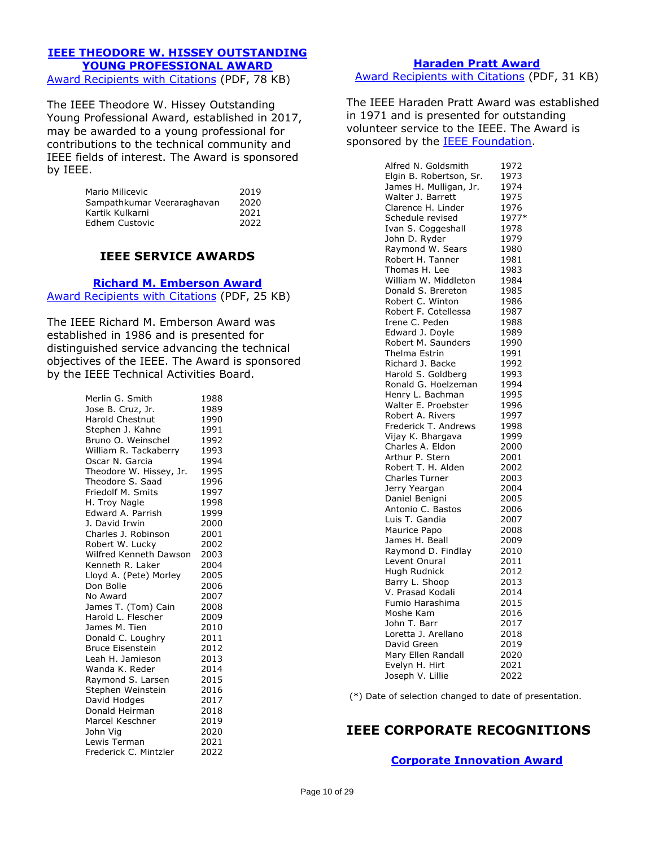# **[IEEE THEODORE W. HISSEY OUTSTANDING](https://corporate-awards.ieee.org/corporate-awards/#recognitions)  [YOUNG PROFESSIONAL AWARD](https://corporate-awards.ieee.org/corporate-awards/#recognitions)**

[Award Recipients with Citations](https://www.ieee.org/content/dam/ieee-org/ieee/web/org/about/awards/recipients/hissey-rl.pdf) (PDF, 78 KB)

The IEEE Theodore W. Hissey Outstanding Young Professional Award, established in 2017, may be awarded to a young professional for contributions to the technical community and IEEE fields of interest. The Award is sponsored by IEEE.

| Mario Milicevic            | 2019 |
|----------------------------|------|
| Sampathkumar Veeraraghavan | 2020 |
| Kartik Kulkarni            | 2021 |
| Edhem Custovic             | 2022 |

# **IEEE SERVICE AWARDS**

**[Richard M. Emberson Award](https://corporate-awards.ieee.org/corporate-awards/#recognitions)**

[Award Recipients with Citations](https://www.ieee.org/content/dam/ieee-org/ieee/web/org/about/awards/recipients/emberson-rl.pdf) (PDF, 25 KB)

The IEEE Richard M. Emberson Award was established in 1986 and is presented for distinguished service advancing the technical objectives of the IEEE. The Award is sponsored by the IEEE Technical Activities Board.

| Merlin G. Smith         | 1988 |
|-------------------------|------|
| Jose B. Cruz, Jr.       | 1989 |
| <b>Harold Chestnut</b>  | 1990 |
| Stephen J. Kahne        | 1991 |
| Bruno O. Weinschel      | 1992 |
| William R. Tackaberry   | 1993 |
| Oscar N. Garcia         | 1994 |
| Theodore W. Hissey, Jr. | 1995 |
| Theodore S. Saad        | 1996 |
| Friedolf M. Smits       | 1997 |
| H. Troy Nagle           | 1998 |
| Edward A. Parrish       | 1999 |
| J. David Irwin          | 2000 |
| Charles J. Robinson     | 2001 |
| Robert W. Lucky         | 2002 |
| Wilfred Kenneth Dawson  | 2003 |
| Kenneth R. Laker        | 2004 |
| Lloyd A. (Pete) Morley  | 2005 |
| Don Bolle               | 2006 |
| No Award                | 2007 |
| James T. (Tom) Cain     | 2008 |
| Harold L. Flescher      | 2009 |
| James M. Tien           | 2010 |
| Donald C. Loughry       | 2011 |
| <b>Bruce Eisenstein</b> | 2012 |
| Leah H. Jamieson        | 2013 |
| Wanda K. Reder          | 2014 |
| Raymond S. Larsen       | 2015 |
| Stephen Weinstein       | 2016 |
| David Hodges            | 2017 |
| Donald Heirman          | 2018 |
| Marcel Keschner         | 2019 |
| John Vig                | 2020 |
| Lewis Terman            | 2021 |
| Frederick C. Mintzler   | 2022 |

**[Haraden Pratt Award](https://corporate-awards.ieee.org/corporate-awards/#recognitions)** [Award Recipients with Citations](https://www.ieee.org/content/dam/ieee-org/ieee/web/org/about/awards/recipients/pratt-rl.pdf) (PDF, 31 KB)

The IEEE Haraden Pratt Award was established in 1971 and is presented for outstanding volunteer service to the IEEE. The Award is sponsored by the **IEEE Foundation**.

| Alfred N. Goldsmith       | 1972  |
|---------------------------|-------|
| Elgin B. Robertson, Sr.   | 1973  |
| James H. Mulligan, Jr.    | 1974  |
| Walter J. Barrett         | 1975  |
| Clarence H. Linder        | 1976  |
| Schedule revised          | 1977* |
| Ivan S. Coggeshall        | 1978  |
| John D. Ryder             | 1979  |
| Raymond W. Sears          | 1980  |
| Robert H. Tanner          | 1981  |
| Thomas H. Lee             | 1983  |
| William W. Middleton      | 1984  |
| Donald S. Brereton        | 1985  |
| Robert C. Winton          | 1986  |
| Robert F. Cotellessa      | 1987  |
| Irene C. Peden            | 1988  |
| Edward J. Doyle           | 1989  |
| Robert M. Saunders        | 1990  |
| Thelma Estrin             | 1991  |
| Richard J. Backe          | 1992  |
| Harold S. Goldberg        | 1993  |
| Ronald G. Hoelzeman       | 1994  |
| Henry L. Bachman          | 1995  |
| Walter E. Proebster       | 1996  |
| Robert A. Rivers          | 1997  |
| Frederick T. Andrews      | 1998  |
| Vijay K. Bhargava         | 1999  |
| Charles A. Eldon          | 2000  |
| Arthur P. Stern           | 2001  |
| Robert T. H. Alden        | 2002  |
| Charles Turner            | 2003  |
| Jerry Yeargan             | 2004  |
| Daniel Benigni            | 2005  |
| Antonio C. Bastos         | 2006  |
| Luis T. Gandia            | 2007  |
| Maurice Papo              | 2008  |
| James H. Beall            | 2009  |
| Raymond D. Findlay        | 2010  |
| Levent Onural             | 2011  |
| Hugh Rudnick              | 2012  |
| Barry L. Shoop            | 2013  |
| V. Prasad Kodali          |       |
|                           | 2014  |
| Fumio Harashima           | 2015  |
| Moshe Kam<br>John T. Barr | 2016  |
|                           | 2017  |
| Loretta J. Arellano       | 2018  |
| David Green               | 2019  |
| Mary Ellen Randall        | 2020  |
| Evelyn H. Hirt            | 2021  |
| Joseph V. Lillie          | 2022  |

(\*) Date of selection changed to date of presentation.

# **IEEE CORPORATE RECOGNITIONS**

**[Corporate Innovation Award](https://corporate-awards.ieee.org/corporate-awards/#recognitions)**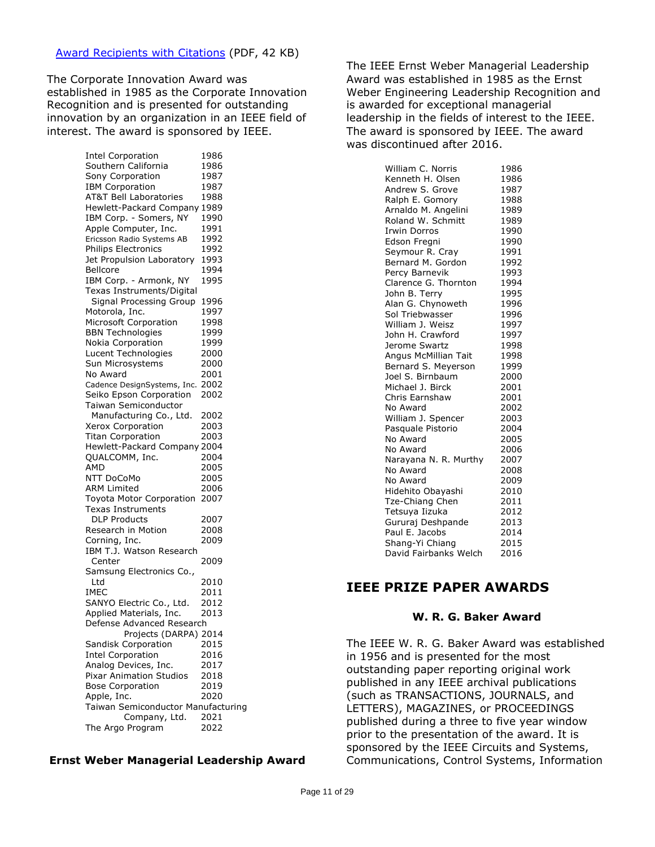The Corporate Innovation Award was established in 1985 as the Corporate Innovation Recognition and is presented for outstanding innovation by an organization in an IEEE field of interest. The award is sponsored by IEEE.

> Intel Corporation 1986 Southern California 1986 Sony Corporation 1987 IBM Corporation 1987 AT&T Bell Laboratories 1988 Hewlett-Packard Company 1989 IBM Corp. - Somers, NY 1990 Apple Computer, Inc. 1991 Ericsson Radio Systems AB 1992 Philips Electronics 1992 Jet Propulsion Laboratory 1993 Bellcore 1994 IBM Corp. - Armonk, NY 1995 Texas Instruments/Digital Signal Processing Group 1996 Motorola, Inc. 1997 Microsoft Corporation 1998 BBN Technologies 1999 Nokia Corporation 1999 Lucent Technologies 2000 Sun Microsystems 2000 No Award 2001 Cadence DesignSystems, Inc. 2002 Seiko Epson Corporation 2002 Taiwan Semiconductor Manufacturing Co., Ltd. 2002 Xerox Corporation 2003 Titan Corporation 2003 Hewlett-Packard Company 2004 QUALCOMM, Inc. 2004 AMD 2005 NTT DoCoMo 2005 ARM Limited 2006 Toyota Motor Corporation 2007 Texas Instruments DLP Products 2007 Research in Motion 2008 Corning, Inc. 2009 IBM T.J. Watson Research Center 2009 Samsung Electronics Co., Ltd 2010 IMEC 2011 SANYO Electric Co., Ltd. 2012 Applied Materials, Inc. 2013 Defense Advanced Research Projects (DARPA) 2014 Sandisk Corporation 2015 Intel Corporation 2016 Analog Devices, Inc. 2017<br>Pixar Animation Studios 2018 Pixar Animation Studios Bose Corporation 2019 Apple, Inc. 2020 Taiwan Semiconductor Manufacturing Company, Ltd. 2021 The Argo Program 2022

#### **Ernst Weber Managerial Leadership Award**

The IEEE Ernst Weber Managerial Leadership Award was established in 1985 as the Ernst Weber Engineering Leadership Recognition and is awarded for exceptional managerial leadership in the fields of interest to the IEEE. The award is sponsored by IEEE. The award was discontinued after 2016.

| William C. Norris     | 1986 |
|-----------------------|------|
| Kenneth H. Olsen      | 1986 |
| Andrew S. Grove       | 1987 |
| Ralph E. Gomory       | 1988 |
| Arnaldo M. Angelini   | 1989 |
| Roland W. Schmitt     | 1989 |
| <b>Irwin Dorros</b>   | 1990 |
| Edson Fregni          | 1990 |
| Seymour R. Cray       | 1991 |
| Bernard M. Gordon     | 1992 |
| Percy Barnevik        | 1993 |
| Clarence G. Thornton  | 1994 |
| John B. Terry         | 1995 |
| Alan G. Chynoweth     | 1996 |
| Sol Triebwasser       | 1996 |
| William J. Weisz      | 1997 |
| John H. Crawford      | 1997 |
| Jerome Swartz         | 1998 |
| Angus McMillian Tait  | 1998 |
| Bernard S. Meyerson   | 1999 |
| Joel S. Birnbaum      | 2000 |
| Michael J. Birck      | 2001 |
| Chris Earnshaw        | 2001 |
| No Award              | 2002 |
| William J. Spencer    | 2003 |
| Pasquale Pistorio     | 2004 |
| No Award              | 2005 |
| No Award              | 2006 |
| Narayana N. R. Murthy | 2007 |
| No Award              | 2008 |
| No Award              | 2009 |
| Hidehito Obayashi     | 2010 |
| Tze-Chiang Chen       | 2011 |
| Tetsuya Iizuka        | 2012 |
| Gururaj Deshpande     | 2013 |
| Paul E. Jacobs        | 2014 |
| Shang-Yi Chiang       | 2015 |
| David Fairbanks Welch | 2016 |

# **IEEE PRIZE PAPER AWARDS**

#### **W. R. G. Baker Award**

The IEEE W. R. G. Baker Award was established in 1956 and is presented for the most outstanding paper reporting original work published in any IEEE archival publications (such as TRANSACTIONS, JOURNALS, and LETTERS), MAGAZINES, or PROCEEDINGS published during a three to five year window prior to the presentation of the award. It is sponsored by the IEEE Circuits and Systems, Communications, Control Systems, Information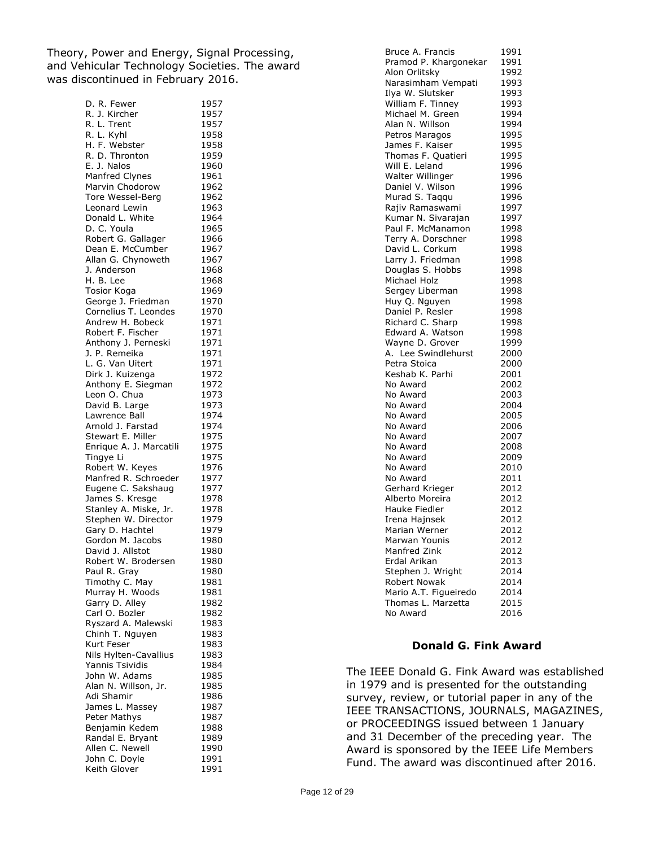Theory, Power and Energy, Signal Processing, and Vehicular Technology Societies. The award was discontinued in February 2016.

| D. R. Fewer             | 1957 |
|-------------------------|------|
| R. J. Kircher           | 1957 |
| R. L. Trent             | 1957 |
| R. L. Kyhl              |      |
|                         | 1958 |
| H. F. Webster           | 1958 |
| R. D. Thronton          | 1959 |
| E. J. Nalos             | 1960 |
|                         |      |
| Manfred Clynes          | 1961 |
| Marvin Chodorow         | 1962 |
| Tore Wessel-Berg        | 1962 |
| Leonard Lewin           | 1963 |
|                         |      |
| Donald L. White         | 1964 |
| D. C. Youla             | 1965 |
| Robert G. Gallager      | 1966 |
| Dean E. McCumber        | 1967 |
|                         |      |
| Allan G. Chynoweth      | 1967 |
| J. Anderson             | 1968 |
| H. B. Lee               | 1968 |
|                         |      |
| <b>Tosior Koga</b>      | 1969 |
| George J. Friedman      | 1970 |
| Cornelius T. Leondes    | 1970 |
| Andrew H. Bobeck        | 1971 |
|                         |      |
| Robert F. Fischer       | 1971 |
| Anthony J. Perneski     | 1971 |
| J. P. Remeika           | 1971 |
| L. G. Van Uitert        | 1971 |
|                         |      |
| Dirk J. Kuizenga        | 1972 |
| Anthony E. Siegman      | 1972 |
| Leon O. Chua            | 1973 |
|                         |      |
| David B. Large          | 1973 |
| Lawrence Ball           | 1974 |
| Arnold J. Farstad       | 1974 |
| Stewart E. Miller       | 1975 |
|                         |      |
| Enrique A. J. Marcatili | 1975 |
| Tingye Li               | 1975 |
| Robert W. Keyes         | 1976 |
| Manfred R. Schroeder    | 1977 |
|                         |      |
| Eugene C. Sakshaug      | 1977 |
| James S. Kresge         | 1978 |
| Stanley A. Miske, Jr.   | 1978 |
|                         |      |
| Stephen W. Director     | 1979 |
| Gary D. Hachtel         | 1979 |
| Gordon M. Jacobs        | 1980 |
| David J. Allstot        | 1980 |
|                         |      |
| Robert W. Brodersen     | 1980 |
| Paul R. Gray            | 1980 |
| Timothy C. May          | 1981 |
| Murray H. Woods         | 1981 |
|                         |      |
| Garry D. Alley          | 1982 |
| Carl O. Bozler          | 1982 |
| Ryszard A. Malewski     | 1983 |
| Chinh T. Nguyen         | 1983 |
|                         |      |
| Kurt Feser              | 1983 |
| Nils Hylten-Cavallius   | 1983 |
| Yannis Tsividis         | 1984 |
| John W. Adams           | 1985 |
|                         |      |
| Alan N. Willson, Jr.    | 1985 |
| Adi Shamir              | 1986 |
| James L. Massey         | 1987 |
|                         |      |
| Peter Mathys            | 1987 |
| Benjamin Kedem          | 1988 |
| Randal E. Bryant        | 1989 |
| Allen C. Newell         | 1990 |
|                         |      |
| John C. Doyle           | 1991 |
| Keith Glover            | 1991 |

| Bruce A. Francis      | 1991 |
|-----------------------|------|
| Pramod P. Khargonekar | 1991 |
| Alon Orlitsky         | 1992 |
| Narasimham Vempati    | 1993 |
| Ilya W. Slutsker      | 1993 |
| William F. Tinney     | 1993 |
| Michael M. Green      | 1994 |
| Alan N. Willson       | 1994 |
|                       | 1995 |
| Petros Maragos        |      |
| James F. Kaiser       | 1995 |
| Thomas F. Quatieri    | 1995 |
| Will E. Leland        | 1996 |
| Walter Willinger      | 1996 |
| Daniel V. Wilson      | 1996 |
| Murad S. Taqqu        | 1996 |
| Rajiv Ramaswami       | 1997 |
| Kumar N. Sivarajan    | 1997 |
| Paul F. McManamon     | 1998 |
| Terry A. Dorschner    | 1998 |
| David L. Corkum       | 1998 |
| Larry J. Friedman     | 1998 |
| Douglas S. Hobbs      | 1998 |
| Michael Holz          | 1998 |
| Sergey Liberman       | 1998 |
| Huy Q. Nguyen         | 1998 |
| Daniel P. Resler      | 1998 |
| Richard C. Sharp      | 1998 |
| Edward A. Watson      | 1998 |
| Wayne D. Grover       | 1999 |
| A. Lee Swindlehurst   | 2000 |
| Petra Stoica          | 2000 |
| Keshab K. Parhi       | 2001 |
| No Award              | 2002 |
| No Award              | 2003 |
| No Award              | 2004 |
| No Award              | 2005 |
| No Award              | 2006 |
| No Award              | 2007 |
| No Award              | 2008 |
| No Award              | 2009 |
| No Award              | 2010 |
| No Award              | 2011 |
| Gerhard Krieger       | 2012 |
| Alberto Moreira       | 2012 |
| <b>Hauke Fiedler</b>  | 2012 |
| Irena Hajnsek         | 2012 |
| Marian Werner         | 2012 |
| Marwan Younis         | 2012 |
| Manfred Zink          | 2012 |
| Erdal Arikan          | 2013 |
| Stephen J. Wright     | 2014 |
| Robert Nowak          | 2014 |
| Mario A.T. Figueiredo | 2014 |
| Thomas L. Marzetta    | 2015 |
| No Award              | 2016 |
|                       |      |

#### **Donald G. Fink Award**

The IEEE Donald G. Fink Award was established in 1979 and is presented for the outstanding survey, review, or tutorial paper in any of the IEEE TRANSACTIONS, JOURNALS, MAGAZINES, or PROCEEDINGS issued between 1 January and 31 December of the preceding year. The Award is sponsored by the IEEE Life Members Fund. The award was discontinued after 2016.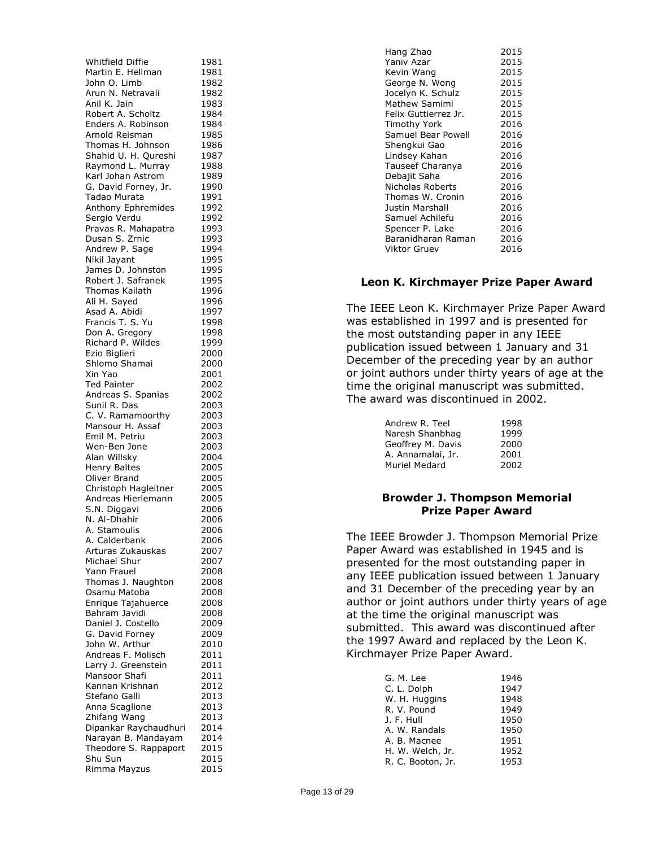| Whitfield Diffie                     | 1981         |
|--------------------------------------|--------------|
| Martin E. Hellman                    | 1981         |
| John O. Limb<br>Arun N. Netravali    | 1982<br>1982 |
| Anil K. Jain                         | 1983         |
| Robert A. Scholtz                    | 1984         |
| Enders A. Robinson                   | 1984         |
| Arnold Reisman                       | 1985         |
| Thomas H. Johnson                    | 1986         |
| Shahid U. H. Qureshi                 | 1987         |
| Raymond L. Murray                    | 1988         |
| Karl Johan Astrom                    | 1989         |
| G. David Forney, Jr.<br>Tadao Murata | 1990         |
| Anthony Ephremides                   | 1991<br>1992 |
| Sergio Verdu                         | 1992         |
| Pravas R. Mahapatra                  | 1993         |
| Dusan S. Zrnic                       | 1993         |
| Andrew P. Sage                       | 1994         |
| Nikil Jayant                         | 1995         |
| James D. Johnston                    | 1995         |
| Robert J. Safranek                   | 1995         |
| Thomas Kailath                       | 1996         |
| Ali H. Sayed<br>Asad A. Abidi        | 1996<br>1997 |
| Francis T. S. Yu                     | 1998         |
| Don A. Gregory                       | 1998         |
| Richard P. Wildes                    | 1999         |
| Ezio Biglieri                        | 2000         |
| Shlomo Shamai                        | 2000         |
| Xin Yao                              | 2001         |
| <b>Ted Painter</b>                   | 2002         |
| Andreas S. Spanias<br>Sunil R. Das   | 2002<br>2003 |
| C. V. Ramamoorthy                    | 2003         |
| Mansour H. Assaf                     | 2003         |
| Emil M. Petriu                       | 2003         |
| Wen-Ben Jone                         | 2003         |
| Alan Willsky                         | 2004         |
| Henry Baltes                         | 2005         |
| Oliver Brand                         | 2005         |
| Christoph Hagleitner                 | 2005         |
| Andreas Hierlemann<br>S.N. Diggavi   | 2005<br>2006 |
| N. Al-Dhahir                         | 2006         |
| A. Stamoulis                         | 2006         |
| A. Calderbank                        | 2006         |
| Arturas Zukauskas                    | 2007         |
| Michael Shur                         | 2007         |
| Yann Frauel                          | 2008         |
| Thomas J. Naughton                   | 2008         |
| Osamu Matoba                         | 2008<br>2008 |
| Enrique Tajahuerce<br>Bahram Javidi  | 2008         |
| Daniel J. Costello                   | 2009         |
| G. David Forney                      | 2009         |
| John W. Arthur                       | 2010         |
| Andreas F. Molisch                   | 2011         |
| Larry J. Greenstein                  | 2011         |
| Mansoor Shafi                        | 2011         |
| Kannan Krishnan                      | 2012         |
| Stefano Galli                        | 2013<br>2013 |
| Anna Scaglione<br>Zhifang Wang       | 2013         |
| Dipankar Raychaudhuri                | 2014         |
| Narayan B. Mandayam                  | 2014         |
| Theodore S. Rappaport                | 2015         |
| Shu Sun                              | 2015         |
| Rimma Mayzus                         | 2015         |

| Hang Zhao            | 2015 |
|----------------------|------|
| Yaniv Azar           | 2015 |
| Kevin Wang           | 2015 |
| George N. Wong       | 2015 |
| Jocelyn K. Schulz    | 2015 |
| Mathew Samimi        | 2015 |
| Felix Guttierrez Jr. | 2015 |
| Timothy York         | 2016 |
| Samuel Bear Powell   | 2016 |
| Shengkui Gao         | 2016 |
| Lindsey Kahan        | 2016 |
| Tauseef Charanya     | 2016 |
| Debajit Saha         | 2016 |
| Nicholas Roberts     | 2016 |
| Thomas W. Cronin     | 2016 |
| Justin Marshall      | 2016 |
| Samuel Achilefu      | 2016 |
| Spencer P. Lake      | 2016 |
| Baranidharan Raman   | 2016 |
| Viktor Gruev         | 2016 |
|                      |      |

#### **Leon K. Kirchmayer Prize Paper Award**

The IEEE Leon K. Kirchmayer Prize Paper Award was established in 1997 and is presented for the most outstanding paper in any IEEE publication issued between 1 January and 31 December of the preceding year by an author or joint authors under thirty years of age at the time the original manuscript was submitted. The award was discontinued in 2002.

| Andrew R. Teel    | 1998 |
|-------------------|------|
| Naresh Shanbhag   | 1999 |
| Geoffrey M. Davis | 2000 |
| A. Annamalai, Jr. | 2001 |
| Muriel Medard     | 2002 |

# **Browder J. Thompson Memorial Prize Paper Award**

The IEEE Browder J. Thompson Memorial Prize Paper Award was established in 1945 and is presented for the most outstanding paper in any IEEE publication issued between 1 January and 31 December of the preceding year by an author or joint authors under thirty years of age at the time the original manuscript was submitted. This award was discontinued after the 1997 Award and replaced by the Leon K. Kirchmayer Prize Paper Award.

| G. M. Lee         | 1946 |
|-------------------|------|
| C. L. Dolph       | 1947 |
| W. H. Huggins     | 1948 |
| R. V. Pound       | 1949 |
| J. F. Hull        | 1950 |
| A. W. Randals     | 1950 |
| A. B. Macnee      | 1951 |
| H. W. Welch, Jr.  | 1952 |
| R. C. Booton, Jr. | 1953 |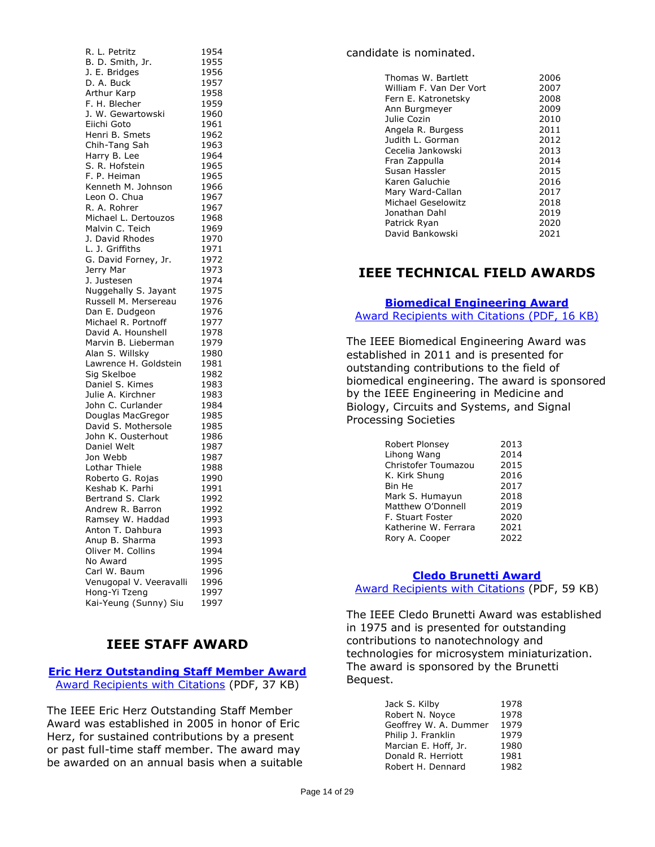| R. L. Petritz                          | 1954 |
|----------------------------------------|------|
| B. D. Smith, Jr.                       | 1955 |
| J. E. Bridges                          | 1956 |
| D. A. Buck                             | 1957 |
| Arthur Karp                            | 1958 |
| F. H. Blecher                          | 1959 |
| J. W. Gewartowski                      | 1960 |
| Eiichi Goto                            | 1961 |
| Henri B. Smets                         | 1962 |
| Chih-Tang Sah                          | 1963 |
| Harry B. Lee                           | 1964 |
| S. R. Hofstein                         | 1965 |
| F. P. Heiman                           | 1965 |
| Kenneth M. Johnson                     | 1966 |
| Leon O. Chua                           | 1967 |
| R. A. Rohrer                           | 1967 |
| Michael L. Dertouzos                   | 1968 |
| Malvin C. Teich                        |      |
| J. David Rhodes                        | 1969 |
|                                        | 1970 |
| L. J. Griffiths                        | 1971 |
| G. David Forney, Jr.                   | 1972 |
| Jerry Mar                              | 1973 |
| J. Justesen                            | 1974 |
| Nuggehally S. Jayant                   | 1975 |
| Russell M. Mersereau                   | 1976 |
| Dan E. Dudgeon                         | 1976 |
| Michael R. Portnoff                    | 1977 |
| David A. Hounshell                     | 1978 |
| Marvin B. Lieberman                    | 1979 |
| Alan S. Willsky                        | 1980 |
| Lawrence H. Goldstein                  | 1981 |
| Sig Skelboe                            | 1982 |
| Daniel S. Kimes                        | 1983 |
| Julie A. Kirchner                      | 1983 |
| John C. Curlander                      | 1984 |
| Douglas MacGregor                      | 1985 |
| David S. Mothersole                    | 1985 |
| John K. Ousterhout                     | 1986 |
| Daniel Welt                            | 1987 |
| Jon Webb                               | 1987 |
| Lothar Thiele                          | 1988 |
| Roberto G. Rojas                       | 1990 |
| Keshab K. Parhi                        | 1991 |
| Bertrand S. Clark                      | 1992 |
| Andrew R. Barron                       | 1992 |
| Ramsey W. Haddad                       | 1993 |
| Anton T. Dahbura                       | 1993 |
| Anup B. Sharma                         | 1993 |
| Oliver M. Collins                      | 1994 |
| No Award                               | 1995 |
| Carl W. Baum                           | 1996 |
| Venugopal V. Veeravalli                | 1996 |
|                                        |      |
| Hong-Yi Tzeng<br>Kai-Yeung (Sunny) Siu | 1997 |
|                                        | 1997 |

# **IEEE STAFF AWARD**

#### **[Eric Herz Outstanding Staff Member Award](https://corporate-awards.ieee.org/corporate-awards/#recognitions)** [Award Recipients with Citations](https://www.ieee.org/content/dam/ieee-org/ieee/web/org/about/awards/recipients/herz-rl.pdf) (PDF, 37 KB)

The IEEE Eric Herz Outstanding Staff Member Award was established in 2005 in honor of Eric Herz, for sustained contributions by a present or past full-time staff member. The award may be awarded on an annual basis when a suitable

## candidate is nominated.

| Thomas W. Bartlett      | 2006 |
|-------------------------|------|
| William F. Van Der Vort | 2007 |
| Fern E. Katronetsky     | 2008 |
| Ann Burgmeyer           | 2009 |
| Julie Cozin             | 2010 |
| Angela R. Burgess       | 2011 |
| Judith L. Gorman        | 2012 |
| Cecelia Jankowski       | 2013 |
| Fran Zappulla           | 2014 |
| Susan Hassler           | 2015 |
| Karen Galuchie          | 2016 |
| Mary Ward-Callan        | 2017 |
| Michael Geselowitz      | 2018 |
| Jonathan Dahl           | 2019 |
| Patrick Ryan            | 2020 |
| David Bankowski         | 2021 |
|                         |      |

# **IEEE TECHNICAL FIELD AWARDS**

## **[Biomedical Engineering Award](https://corporate-awards.ieee.org/corporate-awards/#field-awards)** [Award Recipients with Citations \(PDF, 16 KB\)](https://www.ieee.org/content/dam/ieee-org/ieee/web/org/about/awards/recipients/biomedical-engineering-rl.pdf)

The IEEE Biomedical Engineering Award was established in 2011 and is presented for outstanding contributions to the field of biomedical engineering. The award is sponsored by the IEEE Engineering in Medicine and Biology, Circuits and Systems, and Signal Processing Societies

| Robert Plonsey       | 2013 |
|----------------------|------|
| Lihong Wang          | 2014 |
| Christofer Toumazou  | 2015 |
| K. Kirk Shung        | 2016 |
| Bin He               | 2017 |
| Mark S. Humayun      | 2018 |
| Matthew O'Donnell    | 2019 |
| F. Stuart Foster     | 2020 |
| Katherine W. Ferrara | 2021 |
| Rory A. Cooper       | 2022 |

## **[Cledo Brunetti Award](https://corporate-awards.ieee.org/corporate-awards/#field-awards)**

[Award Recipients with Citations](https://www.ieee.org/content/dam/ieee-org/ieee/web/org/about/awards/recipients/brunetti-rl.pdf) (PDF, 59 KB)

The IEEE Cledo Brunetti Award was established in 1975 and is presented for outstanding contributions to nanotechnology and technologies for microsystem miniaturization. The award is sponsored by the Brunetti Bequest.

| Jack S. Kilby         | 1978 |
|-----------------------|------|
| Robert N. Noyce       | 1978 |
| Geoffrey W. A. Dummer | 1979 |
| Philip J. Franklin    | 1979 |
| Marcian E. Hoff, Jr.  | 1980 |
| Donald R. Herriott    | 1981 |
| Robert H. Dennard     | 1982 |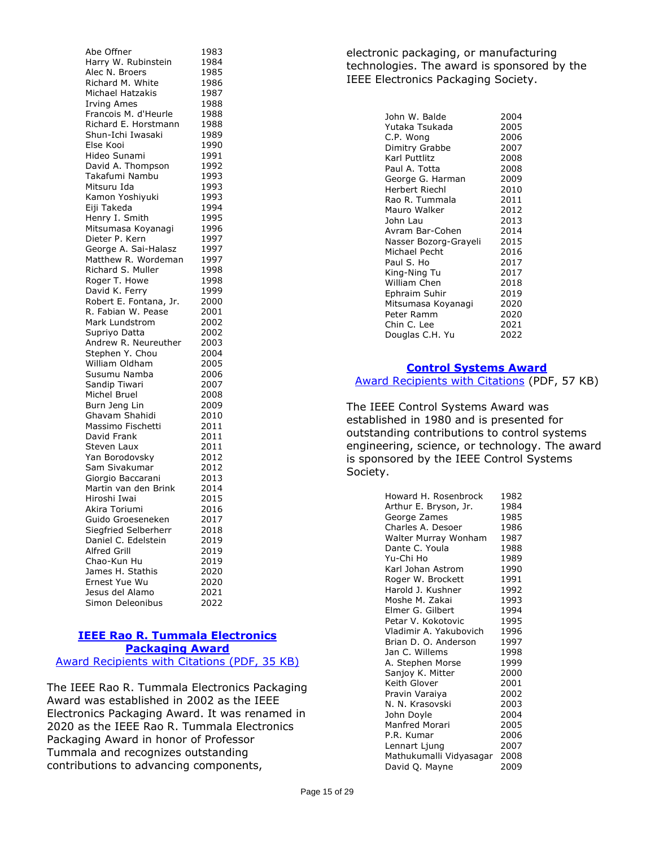Abe Offner 1983 Harry W. Rubinstein 1984 Alec N. Broers 1985<br>Richard M. White 1986 Richard M. White 1986<br>Michael Hatzakis 1987 Michael Hatzakis Irving Ames 1988 Francois M. d'Heurle 1988 Richard E. Horstmann 1988 Shun-Ichi Iwasaki 1989 Else Kooi 1990 Hideo Sunami 1991 David A. Thompson 1992<br>Takafumi Nambu 1993 Takafumi Nambu Mitsuru Ida 1993 Kamon Yoshiyuki 1993 Eiji Takeda 1994 Henry I. Smith 1995 Mitsumasa Koyanagi 1996 Dieter P. Kern 1997 George A. Sai-Halasz 1997 Matthew R. Wordeman 1997 Richard S. Muller 1998 Roger T. Howe 1998 David K. Ferry 1999 Robert E. Fontana, Jr. 2000 R. Fabian W. Pease 2001 Mark Lundstrom 2002 Supriyo Datta 2002 Andrew R. Neureuther 2003 Stephen Y. Chou 2004 William Oldham 2005 Susumu Namba 2006 Sandip Tiwari 2007 Michel Bruel 2008 Burn Jeng Lin 2009 Ghavam Shahidi 2010 Massimo Fischetti 2011 David Frank 2011 Steven Laux 2011 Yan Borodovsky 2012 Sam Sivakumar 2012 Giorgio Baccarani 2013 Martin van den Brink 2014 Hiroshi Iwai 2015 Akira Toriumi 2016 Guido Groeseneken 2017 Siegfried Selberherr 2018 Daniel C. Edelstein 2019 Alfred Grill 2019 Chao-Kun Hu 2019 James H. Stathis 2020 Ernest Yue Wu 2020 Jesus del Alamo 2021 Simon Deleonibus 2022

## **IEEE Rao [R. Tummala Electronics](https://corporate-awards.ieee.org/corporate-awards/#field-awards)  [Packaging Award](https://corporate-awards.ieee.org/corporate-awards/#field-awards)** [Award Recipients with Citations](https://www.ieee.org/content/dam/ieee-org/ieee/web/org/about/awards/recipients/tummala-rl.pdf) (PDF, 35 KB)

The IEEE Rao R. Tummala Electronics Packaging Award was established in 2002 as the IEEE Electronics Packaging Award. It was renamed in 2020 as the IEEE Rao R. Tummala Electronics Packaging Award in honor of Professor Tummala and recognizes outstanding contributions to advancing components,

electronic packaging, or manufacturing technologies. The award is sponsored by the IEEE Electronics Packaging Society.

| John W. Balde         | 2004 |
|-----------------------|------|
| Yutaka Tsukada        | 2005 |
| C.P. Wong             | 2006 |
| Dimitry Grabbe        | 2007 |
| Karl Puttlitz         | 2008 |
| Paul A. Totta         | 2008 |
| George G. Harman      | 2009 |
| Herbert Riechl        | 2010 |
| Rao R. Tummala        | 2011 |
| Mauro Walker          | 2012 |
| John Lau              | 2013 |
| Avram Bar-Cohen       | 2014 |
| Nasser Bozorg-Grayeli | 2015 |
| Michael Pecht         | 2016 |
| Paul S. Ho            | 2017 |
| King-Ning Tu          | 2017 |
| William Chen          | 2018 |
| Ephraim Suhir         | 2019 |
| Mitsumasa Koyanagi    | 2020 |
| Peter Ramm            | 2020 |
| Chin C. Lee           | 2021 |
| Douglas C.H. Yu       | 2022 |

# **[Control Systems Award](https://corporate-awards.ieee.org/corporate-awards/#field-awards)**

Award [Recipients with Citations](https://www.ieee.org/content/dam/ieee-org/ieee/web/org/about/awards/recipients/control-sys-rl.pdf) (PDF, 57 KB)

The IEEE Control Systems Award was established in 1980 and is presented for outstanding contributions to control systems engineering, science, or technology. The award is sponsored by the IEEE Control Systems Society.

| Howard H. Rosenbrock    | 1982 |
|-------------------------|------|
| Arthur E. Bryson, Jr.   | 1984 |
| George Zames            | 1985 |
| Charles A. Desoer       | 1986 |
| Walter Murray Wonham    | 1987 |
| Dante C. Youla          | 1988 |
| Yu-Chi Ho               | 1989 |
| Karl Johan Astrom       | 1990 |
| Roger W. Brockett       | 1991 |
| Harold J. Kushner       | 1992 |
| Moshe M. Zakai          | 1993 |
| Elmer G. Gilbert        | 1994 |
| Petar V. Kokotovic      | 1995 |
| Vladimir A. Yakubovich  | 1996 |
| Brian D. O. Anderson    | 1997 |
| Jan C. Willems          | 1998 |
| A. Stephen Morse        | 1999 |
| Sanjoy K. Mitter        | 2000 |
| Keith Glover            | 2001 |
| Pravin Varaiya          | 2002 |
| N. N. Krasovski         | 2003 |
| John Doyle              | 2004 |
| Manfred Morari          | 2005 |
| P.R. Kumar              | 2006 |
| Lennart Ljung           | 2007 |
| Mathukumalli Vidyasagar | 2008 |
| David Q. Mayne          | 2009 |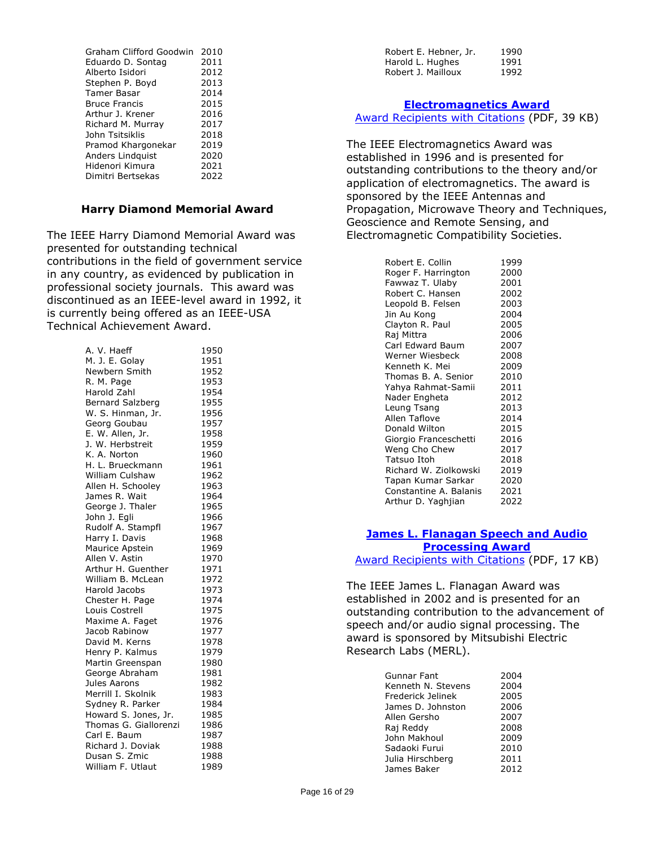| Graham Clifford Goodwin | 2010 |
|-------------------------|------|
| Eduardo D. Sontag       | 2011 |
| Alberto Isidori         | 2012 |
| Stephen P. Boyd         | 2013 |
| Tamer Basar             | 2014 |
| <b>Bruce Francis</b>    | 2015 |
| Arthur J. Krener        | 2016 |
| Richard M. Murray       | 2017 |
| John Tsitsiklis         | 2018 |
| Pramod Khargonekar      | 2019 |
| Anders Lindquist        | 2020 |
| Hidenori Kimura         | 2021 |
| Dimitri Bertsekas       | 2022 |
|                         |      |

#### **Harry Diamond Memorial Award**

The IEEE Harry Diamond Memorial Award was presented for outstanding technical contributions in the field of government service in any country, as evidenced by publication in professional society journals. This award was discontinued as an IEEE-level award in 1992, it is currently being offered as an IEEE-USA Technical Achievement Award.

| A. V. Haeff             | 1950 |
|-------------------------|------|
| M. J. E. Golay          | 1951 |
| Newbern Smith           | 1952 |
| R. M. Page              | 1953 |
| <b>Harold Zahl</b>      | 1954 |
| <b>Bernard Salzberg</b> | 1955 |
| W. S. Hinman, Jr.       | 1956 |
| Georg Goubau            | 1957 |
| E. W. Allen, Jr.        | 1958 |
| J. W. Herbstreit        | 1959 |
| K. A. Norton            | 1960 |
| H. L. Brueckmann        | 1961 |
| William Culshaw         | 1962 |
| Allen H. Schooley       | 1963 |
| James R. Wait           | 1964 |
| George J. Thaler        | 1965 |
| John J. Egli            | 1966 |
| Rudolf A. Stampfl       | 1967 |
| Harry I. Davis          | 1968 |
| Maurice Apstein         | 1969 |
| Allen V. Astin          | 1970 |
| Arthur H. Guenther      | 1971 |
| William B. McLean       | 1972 |
| Harold Jacobs           | 1973 |
| Chester H. Page         | 1974 |
| Louis Costrell          | 1975 |
| Maxime A. Faget         | 1976 |
| Jacob Rabinow           | 1977 |
| David M. Kerns          | 1978 |
| Henry P. Kalmus         | 1979 |
| Martin Greenspan        | 1980 |
| George Abraham          | 1981 |
| Jules Aarons            | 1982 |
| Merrill I. Skolnik      | 1983 |
| Sydney R. Parker        | 1984 |
| Howard S. Jones, Jr.    | 1985 |
| Thomas G. Giallorenzi   | 1986 |
| Carl E. Baum            | 1987 |
| Richard J. Doviak       | 1988 |
| Dusan S. Zmic           | 1988 |
| William F. Utlaut       | 1989 |

| Robert E. Hebner, Jr. | 1990 |
|-----------------------|------|
| Harold L. Hughes      | 1991 |
| Robert J. Mailloux    | 1992 |

#### **[Electromagnetics Award](https://corporate-awards.ieee.org/corporate-awards/#field-awards)**

[Award Recipients with Citations](https://www.ieee.org/content/dam/ieee-org/ieee/web/org/about/awards/recipients/electromagnetics-rl.pdf) (PDF, 39 KB)

The IEEE Electromagnetics Award was established in 1996 and is presented for outstanding contributions to the theory and/or application of electromagnetics. The award is sponsored by the IEEE Antennas and Propagation, Microwave Theory and Techniques, Geoscience and Remote Sensing, and Electromagnetic Compatibility Societies.

| Robert E. Collin       | 1999 |
|------------------------|------|
| Roger F. Harrington    | 2000 |
| Fawwaz T. Ulaby        | 2001 |
| Robert C. Hansen       | 2002 |
| Leopold B. Felsen      | 2003 |
| Jin Au Kong            | 2004 |
| Clayton R. Paul        | 2005 |
| Raj Mittra             | 2006 |
| Carl Edward Baum       | 2007 |
| Werner Wiesbeck        | 2008 |
| Kenneth K. Mei         | 2009 |
| Thomas B. A. Senior    | 2010 |
| Yahya Rahmat-Samii     | 2011 |
| Nader Engheta          | 2012 |
| Leung Tsang            | 2013 |
| Allen Taflove          | 2014 |
| Donald Wilton          | 2015 |
| Giorgio Franceschetti  | 2016 |
| Weng Cho Chew          | 2017 |
| Tatsuo Itoh            | 2018 |
| Richard W. Ziolkowski  | 2019 |
| Tapan Kumar Sarkar     | 2020 |
| Constantine A. Balanis | 2021 |
| Arthur D. Yaghjian     | 2022 |

## **[James L. Flanagan Speech and Audio](https://corporate-awards.ieee.org/corporate-awards/#field-awards) [Processing Award](https://corporate-awards.ieee.org/corporate-awards/#field-awards)**

[Award Recipients with Citations](https://www.ieee.org/content/dam/ieee-org/ieee/web/org/about/awards/recipients/flanagan-rl.pdf) (PDF, 17 KB)

The IEEE James L. Flanagan Award was established in 2002 and is presented for an outstanding contribution to the advancement of speech and/or audio signal processing. The award is sponsored by Mitsubishi Electric Research Labs (MERL).

| Gunnar Fant        | 2004 |
|--------------------|------|
| Kenneth N. Stevens | 2004 |
| Frederick Jelinek  | 2005 |
| James D. Johnston  | 2006 |
| Allen Gersho       | 2007 |
| Raj Reddy          | 2008 |
| John Makhoul       | 2009 |
| Sadaoki Furui      | 2010 |
| Julia Hirschberg   | 2011 |
| James Baker        | 2012 |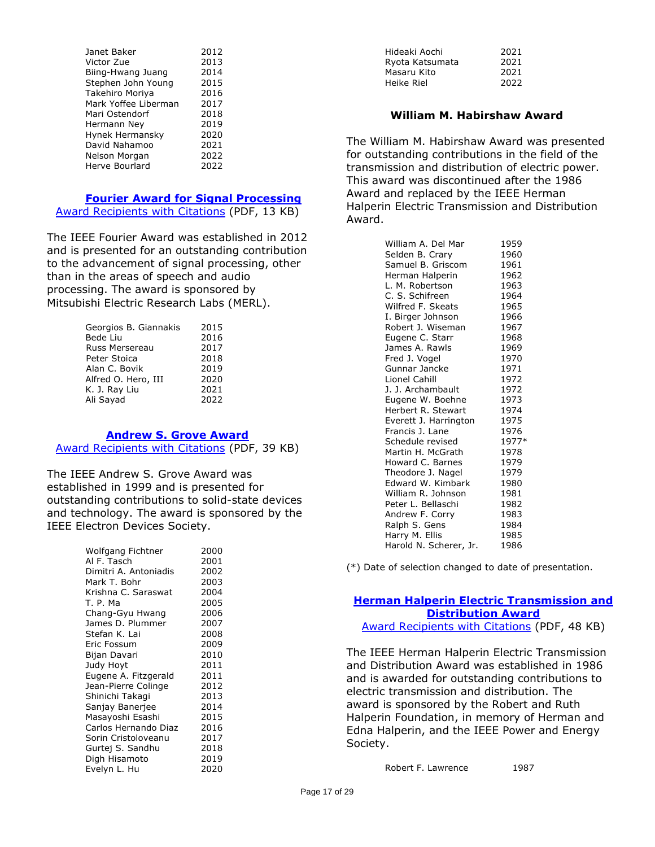| Janet Baker          | 2012 |
|----------------------|------|
| Victor Zue           | 2013 |
| Biing-Hwang Juang    | 2014 |
| Stephen John Young   | 2015 |
| Takehiro Moriya      | 2016 |
| Mark Yoffee Liberman | 2017 |
| Mari Ostendorf       | 2018 |
| Hermann Ney          | 2019 |
| Hynek Hermansky      | 2020 |
| David Nahamoo        | 2021 |
| Nelson Morgan        | 2022 |
| Herve Bourlard       | 2022 |

#### **[Fourier Award for Signal Processing](https://corporate-awards.ieee.org/corporate-awards/#field-awards)**

[Award Recipients with Citations](https://www.ieee.org/content/dam/ieee-org/ieee/web/org/about/awards/recipients/fourier-recipients.pdf) (PDF, 13 KB)

The IEEE Fourier Award was established in 2012 and is presented for an outstanding contribution to the advancement of signal processing, other than in the areas of speech and audio processing. The award is sponsored by Mitsubishi Electric Research Labs (MERL).

| Georgios B. Giannakis | 2015 |
|-----------------------|------|
| Bede Liu              | 2016 |
| Russ Mersereau        | 2017 |
| Peter Stoica          | 2018 |
| Alan C. Bovik         | 2019 |
| Alfred O. Hero, III   | 2020 |
| K. J. Ray Liu         | 2021 |
| Ali Sayad             | 2022 |
|                       |      |

#### **[Andrew S. Grove Award](https://corporate-awards.ieee.org/corporate-awards/#field-awards)**

[Award Recipients with Citations](https://www.ieee.org/content/dam/ieee-org/ieee/web/org/about/awards/recipients/grove-rl.pdf) (PDF, 39 KB)

The IEEE Andrew S. Grove Award was established in 1999 and is presented for outstanding contributions to solid-state devices and technology. The award is sponsored by the IEEE Electron Devices Society.

| Wolfgang Fichtner     | 2000 |
|-----------------------|------|
| Al F. Tasch           | 2001 |
| Dimitri A. Antoniadis | 2002 |
| Mark T. Bohr          | 2003 |
| Krishna C. Saraswat   | 2004 |
| T. P. Ma              | 2005 |
| Chang-Gyu Hwang       | 2006 |
| James D. Plummer      | 2007 |
| Stefan K. Lai         | 2008 |
| Eric Fossum           | 2009 |
| Bijan Davari          | 2010 |
| Judy Hoyt             | 2011 |
| Eugene A. Fitzgerald  | 2011 |
| Jean-Pierre Colinge   | 2012 |
| Shinichi Takagi       | 2013 |
| Sanjay Banerjee       | 2014 |
| Masayoshi Esashi      | 2015 |
| Carlos Hernando Diaz  | 2016 |
| Sorin Cristoloveanu   | 2017 |
| Gurtej S. Sandhu      | 2018 |
| Digh Hisamoto         | 2019 |
| Evelyn L. Hu          | 2020 |

| Hideaki Aochi   | 2021 |
|-----------------|------|
| Ryota Katsumata | 2021 |
| Masaru Kito     | 2021 |
| Heike Riel      | 2022 |
|                 |      |

#### **William M. Habirshaw Award**

The William M. Habirshaw Award was presented for outstanding contributions in the field of the transmission and distribution of electric power. This award was discontinued after the 1986 Award and replaced by the IEEE Herman Halperin Electric Transmission and Distribution Award.

| William A. Del Mar     | 1959  |
|------------------------|-------|
| Selden B. Crary        | 1960  |
| Samuel B. Griscom      | 1961  |
| Herman Halperin        | 1962  |
| L. M. Robertson        | 1963  |
| C. S. Schifreen        | 1964  |
| Wilfred F. Skeats      | 1965  |
| I. Birger Johnson      | 1966  |
| Robert J. Wiseman      | 1967  |
| Eugene C. Starr        | 1968  |
| James A. Rawls         | 1969  |
| Fred J. Vogel          | 1970  |
| Gunnar Jancke          | 1971  |
| Lionel Cahill          | 1972  |
| J. J. Archambault      | 1972  |
| Eugene W. Boehne       | 1973  |
| Herbert R. Stewart     | 1974  |
| Everett J. Harrington  | 1975  |
| Francis J. Lane        | 1976  |
| Schedule revised       | 1977* |
| Martin H. McGrath      | 1978  |
| Howard C. Barnes       | 1979  |
| Theodore J. Nagel      | 1979  |
| Edward W. Kimbark      | 1980  |
| William R. Johnson     | 1981  |
| Peter L. Bellaschi     | 1982  |
| Andrew F. Corry        | 1983  |
| Ralph S. Gens          | 1984  |
| Harry M. Ellis         | 1985  |
| Harold N. Scherer, Jr. | 1986  |

(\*) Date of selection changed to date of presentation.

# **[Herman Halperin Electric Transmission and](https://corporate-awards.ieee.org/corporate-awards/#field-awards)  [Distribution Award](https://corporate-awards.ieee.org/corporate-awards/#field-awards)**

[Award Recipients with Citations](https://www.ieee.org/content/dam/ieee-org/ieee/web/org/about/awards/recipients/halperin-rl.pdf) (PDF, 48 KB)

The IEEE Herman Halperin Electric Transmission and Distribution Award was established in 1986 and is awarded for outstanding contributions to electric transmission and distribution. The award is sponsored by the Robert and Ruth Halperin Foundation, in memory of Herman and Edna Halperin, and the IEEE Power and Energy Society.

Robert F. Lawrence 1987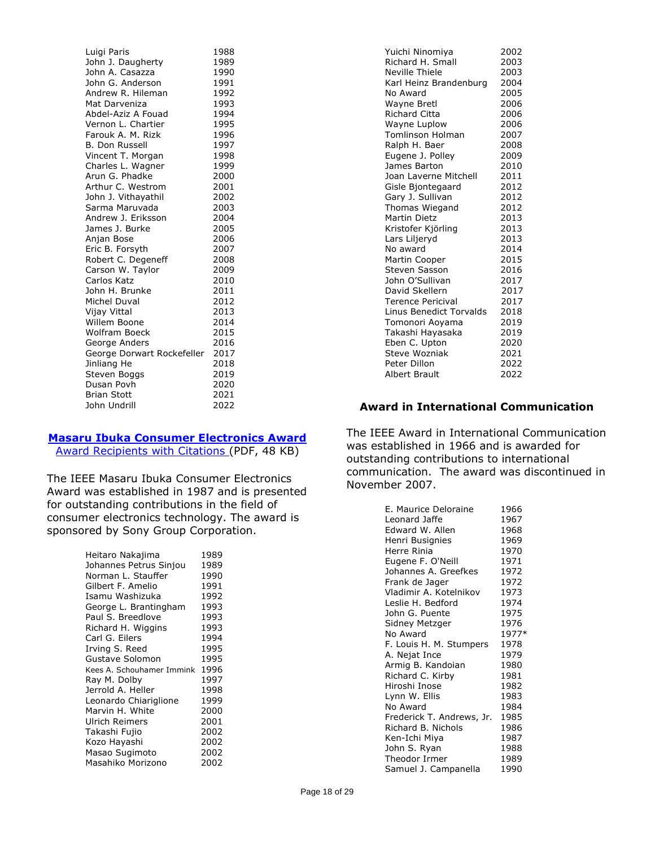| Luigi Paris                | 1988 |
|----------------------------|------|
| John J. Daugherty          | 1989 |
| John A. Casazza            | 1990 |
| John G. Anderson           | 1991 |
| Andrew R. Hileman          | 1992 |
| Mat Darveniza              | 1993 |
| Abdel-Aziz A Fouad         | 1994 |
| Vernon L. Chartier         | 1995 |
| Farouk A. M. Rizk          | 1996 |
| <b>B. Don Russell</b>      | 1997 |
| Vincent T. Morgan          | 1998 |
| Charles L. Wagner          | 1999 |
| Arun G. Phadke             | 2000 |
| Arthur C. Westrom          | 2001 |
| John J. Vithayathil        | 2002 |
| Sarma Maruvada             | 2003 |
| Andrew J. Eriksson         | 2004 |
| James J. Burke             | 2005 |
| Anjan Bose                 | 2006 |
| Eric B. Forsyth            | 2007 |
| Robert C. Degeneff         | 2008 |
| Carson W. Taylor           | 2009 |
| Carlos Katz                | 2010 |
| John H. Brunke             | 2011 |
| Michel Duval               | 2012 |
| Vijay Vittal               | 2013 |
| Willem Boone               | 2014 |
| <b>Wolfram Boeck</b>       | 2015 |
| George Anders              | 2016 |
| George Dorwart Rockefeller | 2017 |
| Jinliang He                | 2018 |
| Steven Boggs               | 2019 |
| Dusan Povh                 | 2020 |
| <b>Brian Stott</b>         | 2021 |
| John Undrill               | 2022 |

# **[Masaru Ibuka Consumer Electronics Award](https://corporate-awards.ieee.org/corporate-awards/#field-awards)**

[Award Recipients with Citations \(](https://www.ieee.org/content/dam/ieee-org/ieee/web/org/about/awards/recipients/ibuka-rl.pdf)PDF, 48 KB)

The IEEE Masaru Ibuka Consumer Electronics Award was established in 1987 and is presented for outstanding contributions in the field of consumer electronics technology. The award is sponsored by Sony Group Corporation.

| Heitaro Nakajima               | 1989 |
|--------------------------------|------|
| Johannes Petrus Sinjou         | 1989 |
| Norman L. Stauffer             | 1990 |
| Gilbert F. Amelio              | 1991 |
| Isamu Washizuka                | 1992 |
| George L. Brantingham          | 1993 |
| Paul S. Breedlove              | 1993 |
| Richard H. Wiggins             | 1993 |
| Carl G. Eilers                 | 1994 |
| Irving S. Reed                 | 1995 |
| Gustave Solomon                | 1995 |
| Kees A. Schouhamer Immink 1996 |      |
| Ray M. Dolby                   | 1997 |
| Jerrold A. Heller              | 1998 |
| Leonardo Chiariglione          | 1999 |
| Marvin H. White                | 2000 |
| Ulrich Reimers                 | 2001 |
| Takashi Fujio                  | 2002 |
| Kozo Hayashi                   | 2002 |
| Masao Sugimoto                 | 2002 |
| Masahiko Morizono              | 2002 |

| Yuichi Ninomiya          | 2002 |
|--------------------------|------|
| Richard H. Small         | 2003 |
| Neville Thiele           | 2003 |
| Karl Heinz Brandenburg   | 2004 |
| No Award                 | 2005 |
| <b>Wayne Bretl</b>       | 2006 |
| <b>Richard Citta</b>     | 2006 |
| Wayne Luplow             | 2006 |
| <b>Tomlinson Holman</b>  | 2007 |
| Ralph H. Baer            | 2008 |
| Eugene J. Polley         | 2009 |
| James Barton             | 2010 |
| Joan Laverne Mitchell    | 2011 |
| Gisle Bjontegaard        | 2012 |
| Gary J. Sullivan         | 2012 |
| Thomas Wiegand           | 2012 |
| Martin Dietz             | 2013 |
| Kristofer Kjörling       | 2013 |
| Lars Liljeryd            | 2013 |
| No award                 | 2014 |
| Martin Cooper            | 2015 |
| Steven Sasson            | 2016 |
| John O'Sullivan          | 2017 |
| David Skellern           | 2017 |
| <b>Terence Pericival</b> | 2017 |
| Linus Benedict Torvalds  | 2018 |
| Tomonori Aoyama          | 2019 |
| Takashi Hayasaka         | 2019 |
| Eben C. Upton            | 2020 |
| <b>Steve Wozniak</b>     | 2021 |
| Peter Dillon             | 2022 |
| <b>Albert Brault</b>     | 2022 |

# **Award in International Communication**

The IEEE Award in International Communication was established in 1966 and is awarded for outstanding contributions to international communication. The award was discontinued in November 2007.

| E. Maurice Deloraine      | 1966  |
|---------------------------|-------|
| Leonard Jaffe             | 1967  |
| Edward W. Allen           | 1968  |
| Henri Busignies           | 1969  |
| Herre Rinia               | 1970  |
| Eugene F. O'Neill         | 1971  |
| Johannes A. Greefkes      | 1972  |
| Frank de Jager            | 1972  |
| Vladimir A. Kotelnikov    | 1973  |
| Leslie H. Bedford         | 1974  |
| John G. Puente            | 1975  |
| Sidney Metzger            | 1976  |
| No Award                  | 1977* |
| F. Louis H. M. Stumpers   | 1978  |
| A. Nejat Ince             | 1979  |
| Armig B. Kandoian         | 1980  |
| Richard C. Kirby          | 1981  |
| Hiroshi Inose             | 1982  |
| Lynn W. Ellis             | 1983  |
| No Award                  | 1984  |
| Frederick T. Andrews, Jr. | 1985  |
| Richard B. Nichols        | 1986  |
| Ken-Ichi Miya             | 1987  |
| John S. Ryan              | 1988  |
| Theodor Irmer             | 1989  |
| Samuel J. Campanella      | 1990  |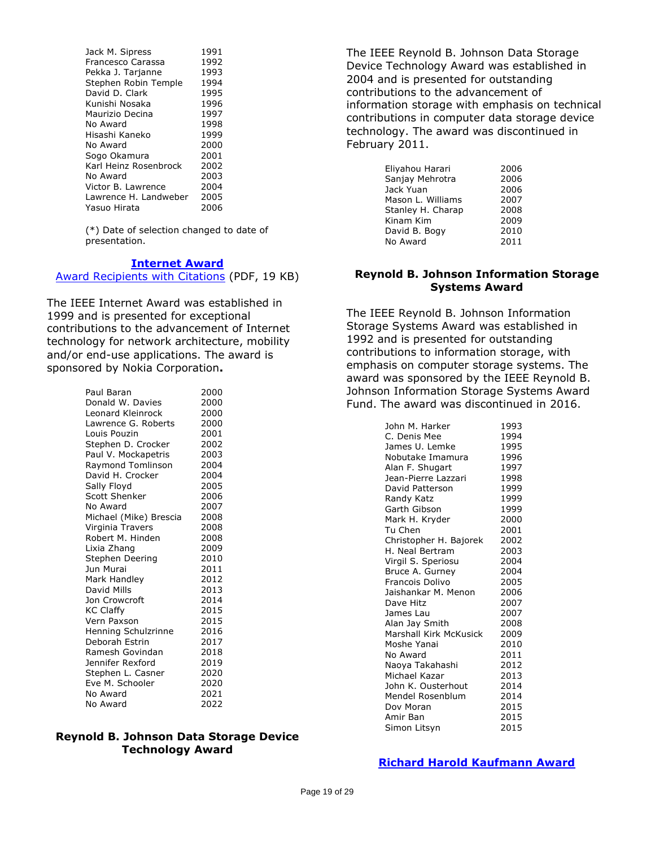| Jack M. Sipress       | 1991 |
|-----------------------|------|
| Francesco Carassa     | 1992 |
| Pekka J. Tarjanne     | 1993 |
| Stephen Robin Temple  | 1994 |
| David D. Clark        | 1995 |
| Kunishi Nosaka        | 1996 |
| Maurizio Decina       | 1997 |
| No Award              | 1998 |
| Hisashi Kaneko        | 1999 |
| No Award              | 2000 |
| Sogo Okamura          | 2001 |
| Karl Heinz Rosenbrock | 2002 |
| No Award              | 2003 |
| Victor B. Lawrence    | 2004 |
| Lawrence H. Landweber | 2005 |
| Yasuo Hirata          | 2006 |
|                       |      |

(\*) Date of selection changed to date of presentation.

#### **[Internet](https://corporate-awards.ieee.org/corporate-awards/#field-awards) Award**

[Award Recipients with Citations](https://www.ieee.org/content/dam/ieee-org/ieee/web/org/about/awards/recipients/internet-rl.pdf) (PDF, 19 KB)

The IEEE Internet Award was established in 1999 and is presented for exceptional contributions to the advancement of Internet technology for network architecture, mobility and/or end-use applications. The award is sponsored by Nokia Corporation**.**

| Paul Baran             | 2000 |
|------------------------|------|
| Donald W. Davies       | 2000 |
| Leonard Kleinrock      | 2000 |
| Lawrence G. Roberts    | 2000 |
| Louis Pouzin           | 2001 |
| Stephen D. Crocker     | 2002 |
| Paul V. Mockapetris    | 2003 |
| Raymond Tomlinson      | 2004 |
| David H. Crocker       | 2004 |
| Sally Floyd            | 2005 |
| <b>Scott Shenker</b>   | 2006 |
| No Award               | 2007 |
| Michael (Mike) Brescia | 2008 |
| Virginia Travers       | 2008 |
| Robert M. Hinden       | 2008 |
| Lixia Zhang            | 2009 |
| Stephen Deering        | 2010 |
| Jun Murai              | 2011 |
| Mark Handley           | 2012 |
| David Mills            | 2013 |
| Jon Crowcroft          | 2014 |
| <b>KC Claffy</b>       | 2015 |
| Vern Paxson            | 2015 |
| Henning Schulzrinne    | 2016 |
| Deborah Estrin         | 2017 |
| Ramesh Govindan        | 2018 |
| Jennifer Rexford       | 2019 |
| Stephen L. Casner      | 2020 |
| Eve M. Schooler        | 2020 |
| No Award               | 2021 |
| No Award               | 2022 |

#### **Reynold B. Johnson Data Storage Device Technology Award**

The IEEE Reynold B. Johnson Data Storage Device Technology Award was established in 2004 and is presented for outstanding contributions to the advancement of information storage with emphasis on technical contributions in computer data storage device technology. The award was discontinued in February 2011.

| Eliyahou Harari   | 2006 |
|-------------------|------|
| Sanjay Mehrotra   | 2006 |
| Jack Yuan         | 2006 |
| Mason L. Williams | 2007 |
| Stanley H. Charap | 2008 |
| Kinam Kim         | 2009 |
| David B. Bogy     | 2010 |
| No Award          | 2011 |
|                   |      |

#### **Reynold B. Johnson Information Storage Systems Award**

The IEEE Reynold B. Johnson Information Storage Systems Award was established in 1992 and is presented for outstanding contributions to information storage, with emphasis on computer storage systems. The award was sponsored by the IEEE Reynold B. Johnson Information Storage Systems Award Fund. The award was discontinued in 2016.

| John M. Harker         | 1993 |
|------------------------|------|
| C. Denis Mee           | 1994 |
| James U. Lemke         | 1995 |
| Nobutake Imamura       | 1996 |
| Alan F. Shugart        | 1997 |
| Jean-Pierre Lazzari    | 1998 |
| David Patterson        | 1999 |
| Randy Katz             | 1999 |
| Garth Gibson           | 1999 |
| Mark H. Kryder         | 2000 |
| Tu Chen                | 2001 |
| Christopher H. Bajorek | 2002 |
| H. Neal Bertram        | 2003 |
| Virgil S. Speriosu     | 2004 |
| Bruce A. Gurney        | 2004 |
| Francois Dolivo        | 2005 |
| Jaishankar M. Menon    | 2006 |
| Dave Hitz              | 2007 |
| James Lau              | 2007 |
| Alan Jay Smith         | 2008 |
| Marshall Kirk McKusick | 2009 |
| Moshe Yanai            | 2010 |
| No Award               | 2011 |
| Naoya Takahashi        | 2012 |
| Michael Kazar          | 2013 |
| John K. Ousterhout     | 2014 |
| Mendel Rosenblum       | 2014 |
| Dov Moran              | 2015 |
| Amir Ban               | 2015 |
| Simon Litsyn           | 2015 |

## **[Richard Harold Kaufmann Award](https://corporate-awards.ieee.org/corporate-awards/#field-awards)**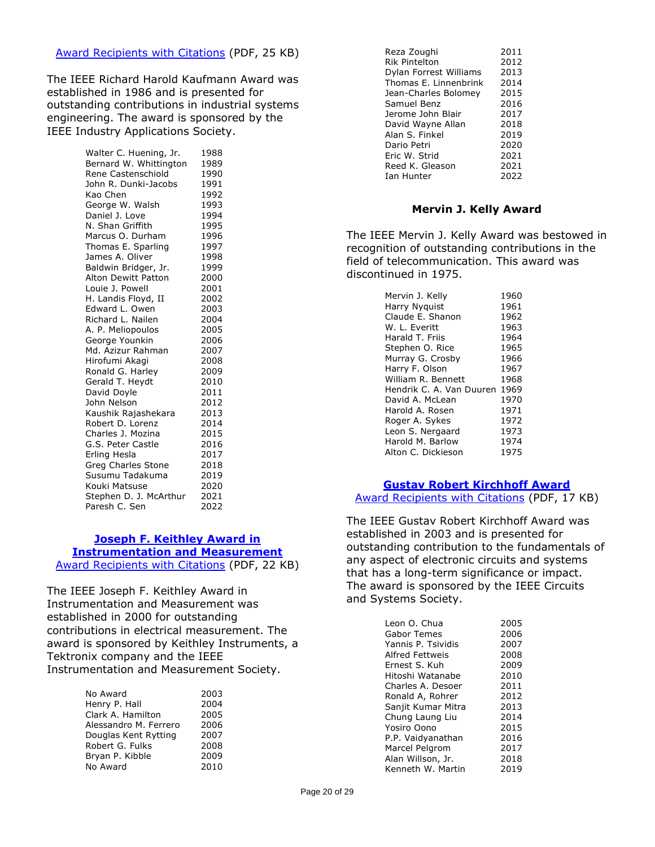#### [Award Recipients with Citations](https://www.ieee.org/content/dam/ieee-org/ieee/web/org/about/awards/recipients/kaufmann-rl.pdf) (PDF, 25 KB)

The IEEE Richard Harold Kaufmann Award was established in 1986 and is presented for outstanding contributions in industrial systems engineering. The award is sponsored by the IEEE Industry Applications Society.

> Walter C. Huening, Jr. 1988 Bernard W. Whittington 1989 Rene Castenschiold 1990 John R. Dunki-Jacobs 1991 Kao Chen 1992 George W. Walsh 1993 Daniel J. Love 1994 N. Shan Griffith 1995 Marcus O. Durham 1996<br>Thomas E. Sparling 1997 Thomas E. Sparling James A. Oliver 1998 Baldwin Bridger, Jr. 1999<br>Alton Dewitt Patton 2000 Alton Dewitt Patton 2000<br>
> Louie J. Powell 2001 Louie J. Powell H. Landis Floyd, II 2002 Edward L. Owen 2003 Richard L. Nailen 2004 A. P. Meliopoulos 2005 George Younkin 2006 Md. Azizur Rahman 2007 Hirofumi Akagi 2008 Ronald G. Harley 2009 Gerald T. Heydt 2010 David Doyle 2011 John Nelson 2012 Kaushik Rajashekara 2013 Robert D. Lorenz 2014 Charles J. Mozina 2015 G.S. Peter Castle 2016 Erling Hesla 2017 Greg Charles Stone 2018 Susumu Tadakuma 2019 Kouki Matsuse 2020 Stephen D. J. McArthur 2021 Paresh C. Sen 2022

## **[Joseph F. Keithley Award in](https://corporate-awards.ieee.org/corporate-awards/#field-awards)  [Instrumentation and Measurement](https://corporate-awards.ieee.org/corporate-awards/#field-awards)**

[Award Recipients with Citations](https://www.ieee.org/content/dam/ieee-org/ieee/web/org/about/awards/recipients/keithley-rl.pdf) (PDF, 22 KB)

The IEEE Joseph F. Keithley Award in Instrumentation and Measurement was established in 2000 for outstanding contributions in electrical measurement. The award is sponsored by Keithley Instruments, a Tektronix company and the IEEE Instrumentation and Measurement Society.

| No Award              | 2003 |
|-----------------------|------|
| Henry P. Hall         | 2004 |
| Clark A. Hamilton     | 2005 |
| Alessandro M. Ferrero | 2006 |
| Douglas Kent Rytting  | 2007 |
| Robert G. Fulks       | 2008 |
| Bryan P. Kibble       | 2009 |
| No Award              | 2010 |
|                       |      |

| 2011 |
|------|
| 2012 |
| 2013 |
| 2014 |
| 2015 |
| 2016 |
| 2017 |
| 2018 |
| 2019 |
| 2020 |
| 2021 |
| 2021 |
| 2022 |
|      |

#### **Mervin J. Kelly Award**

The IEEE Mervin J. Kelly Award was bestowed in recognition of outstanding contributions in the field of telecommunication. This award was discontinued in 1975.

| Mervin J. Kelly          | 1960 |
|--------------------------|------|
| Harry Nyguist            | 1961 |
| Claude E. Shanon         | 1962 |
| W. L. Everitt            | 1963 |
| Harald T. Friis          | 1964 |
| Stephen O. Rice          | 1965 |
| Murray G. Crosby         | 1966 |
| Harry F. Olson           | 1967 |
| William R. Bennett       | 1968 |
| Hendrik C. A. Van Duuren | 1969 |
| David A. McLean          | 1970 |
| Harold A. Rosen          | 1971 |
| Roger A. Sykes           | 1972 |
| Leon S. Nergaard         | 1973 |
| Harold M. Barlow         | 1974 |
| Alton C. Dickieson       | 1975 |

## **[Gustav Robert Kirchhoff Award](https://corporate-awards.ieee.org/corporate-awards/#field-awards)**

[Award Recipients with Citations](https://www.ieee.org/content/dam/ieee-org/ieee/web/org/about/awards/recipients/kirchhoff-rl.pdf) (PDF, 17 KB)

The IEEE Gustav Robert Kirchhoff Award was established in 2003 and is presented for outstanding contribution to the fundamentals of any aspect of electronic circuits and systems that has a long-term significance or impact. The award is sponsored by the IEEE Circuits and Systems Society.

| Leon O. Chua       | 2005 |
|--------------------|------|
| Gabor Temes        | 2006 |
| Yannis P. Tsividis | 2007 |
| Alfred Fettweis    | 2008 |
| Ernest S. Kuh      | 2009 |
| Hitoshi Watanabe   | 2010 |
| Charles A. Desoer  | 2011 |
| Ronald A, Rohrer   | 2012 |
| Sanjit Kumar Mitra | 2013 |
| Chung Laung Liu    | 2014 |
| Yosiro Oono        | 2015 |
| P.P. Vaidyanathan  | 2016 |
| Marcel Pelgrom     | 2017 |
| Alan Willson, Jr.  | 2018 |
| Kenneth W. Martin  | 2019 |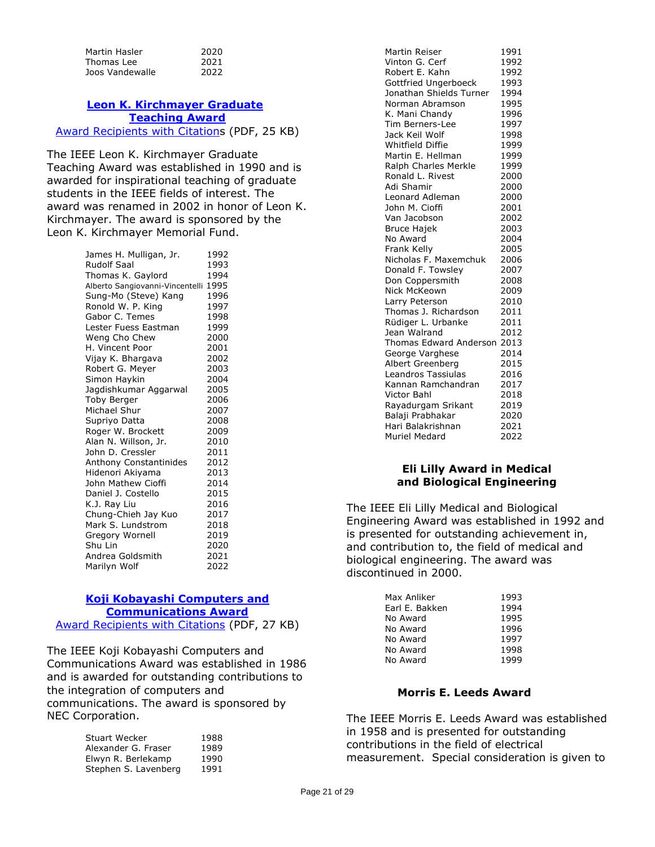| Martin Hasler   | 2020 |
|-----------------|------|
| Thomas Lee      | 2021 |
| Joos Vandewalle | 2022 |

# **[Leon K. Kirchmayer Graduate](https://corporate-awards.ieee.org/corporate-awards/#field-awards) [Teaching Award](https://corporate-awards.ieee.org/corporate-awards/#field-awards)**

[Award Recipients with Citations](https://www.ieee.org/content/dam/ieee-org/ieee/web/org/about/awards/recipients/graduate-rl.pdf) (PDF, 25 KB)

The IEEE Leon K. Kirchmayer Graduate Teaching Award was established in 1990 and is awarded for inspirational teaching of graduate students in the IEEE fields of interest. The award was renamed in 2002 in honor of Leon K. Kirchmayer. The award is sponsored by the Leon K. Kirchmayer Memorial Fund.

| James H. Mulligan, Jr.          | 1992 |
|---------------------------------|------|
| <b>Rudolf Saal</b>              | 1993 |
| Thomas K. Gaylord               | 1994 |
| Alberto Sangiovanni-Vincentelli | 1995 |
| Sung-Mo (Steve) Kang            | 1996 |
| Ronold W. P. King               | 1997 |
| Gabor C. Temes                  | 1998 |
| Lester Fuess Eastman            | 1999 |
| Weng Cho Chew                   | 2000 |
| H. Vincent Poor                 | 2001 |
| Vijay K. Bhargava               | 2002 |
| Robert G. Meyer                 | 2003 |
| Simon Haykin                    | 2004 |
| Jagdishkumar Aggarwal           | 2005 |
| <b>Toby Berger</b>              | 2006 |
| Michael Shur                    | 2007 |
| Supriyo Datta                   | 2008 |
| Roger W. Brockett               | 2009 |
| Alan N. Willson, Jr.            | 2010 |
| John D. Cressler                | 2011 |
| Anthony Constantinides          | 2012 |
| Hidenori Akiyama                | 2013 |
| John Mathew Cioffi              | 2014 |
| Daniel J. Costello              | 2015 |
| K.J. Ray Liu                    | 2016 |
| Chung-Chieh Jay Kuo             | 2017 |
| Mark S. Lundstrom               | 2018 |
| Gregory Wornell                 | 2019 |
| Shu Lin                         | 2020 |
| Andrea Goldsmith                | 2021 |
| Marilyn Wolf                    | 2022 |

#### **[Koji Kobayashi Computers and](https://corporate-awards.ieee.org/corporate-awards/#field-awards)  [Communications Award](https://corporate-awards.ieee.org/corporate-awards/#field-awards)** [Award Recipients with Citations](https://www.ieee.org/content/dam/ieee-org/ieee/web/org/about/awards/recipients/kobayashi-rl.pdf) (PDF, 27 KB)

The IEEE Koji Kobayashi Computers and Communications Award was established in 1986 and is awarded for outstanding contributions to the integration of computers and communications. The award is sponsored by NEC Corporation.

| <b>Stuart Wecker</b> | 1988 |
|----------------------|------|
| Alexander G. Fraser  | 1989 |
| Elwyn R. Berlekamp   | 1990 |
| Stephen S. Lavenberg | 1991 |
|                      |      |

| Martin Reiser           | 1991 |
|-------------------------|------|
| Vinton G. Cerf          | 1992 |
| Robert E. Kahn          | 1992 |
| Gottfried Ungerboeck    | 1993 |
| Jonathan Shields Turner | 1994 |
| Norman Abramson         | 1995 |
| K. Mani Chandy          | 1996 |
| <b>Tim Berners-Lee</b>  | 1997 |
| Jack Keil Wolf          | 1998 |
| Whitfield Diffie        | 1999 |
| Martin E. Hellman       | 1999 |
| Ralph Charles Merkle    | 1999 |
| Ronald L. Rivest        | 2000 |
| Adi Shamir              | 2000 |
| <b>Leonard Adleman</b>  | 2000 |
| John M. Cioffi          | 2001 |
| Van Jacobson            | 2002 |
| <b>Bruce Hajek</b>      | 2003 |
| No Award                | 2004 |
| Frank Kelly             | 2005 |
| Nicholas F. Maxemchuk   | 2006 |
| Donald F. Towsley       | 2007 |
| Don Coppersmith         | 2008 |
| Nick McKeown            | 2009 |
| Larry Peterson          | 2010 |
| Thomas J. Richardson    | 2011 |
| Rüdiger L. Urbanke      | 2011 |
| Jean Walrand            | 2012 |
| Thomas Edward Anderson  | 2013 |
| George Varghese         | 2014 |
| Albert Greenberg        | 2015 |
| Leandros Tassiulas      | 2016 |
| Kannan Ramchandran      | 2017 |
| <b>Victor Bahl</b>      | 2018 |
| Rayadurgam Srikant      | 2019 |
| Balaji Prabhakar        | 2020 |
| Hari Balakrishnan       | 2021 |
| Muriel Medard           | 2022 |

#### **Eli Lilly Award in Medical and Biological Engineering**

The IEEE Eli Lilly Medical and Biological Engineering Award was established in 1992 and is presented for outstanding achievement in, and contribution to, the field of medical and biological engineering. The award was discontinued in 2000.

| Max Anliker    | 1993 |
|----------------|------|
| Earl E. Bakken | 1994 |
| No Award       | 1995 |
| No Award       | 1996 |
| No Award       | 1997 |
| No Award       | 1998 |
| No Award       | 1999 |
|                |      |

#### **Morris E. Leeds Award**

The IEEE Morris E. Leeds Award was established in 1958 and is presented for outstanding contributions in the field of electrical measurement. Special consideration is given to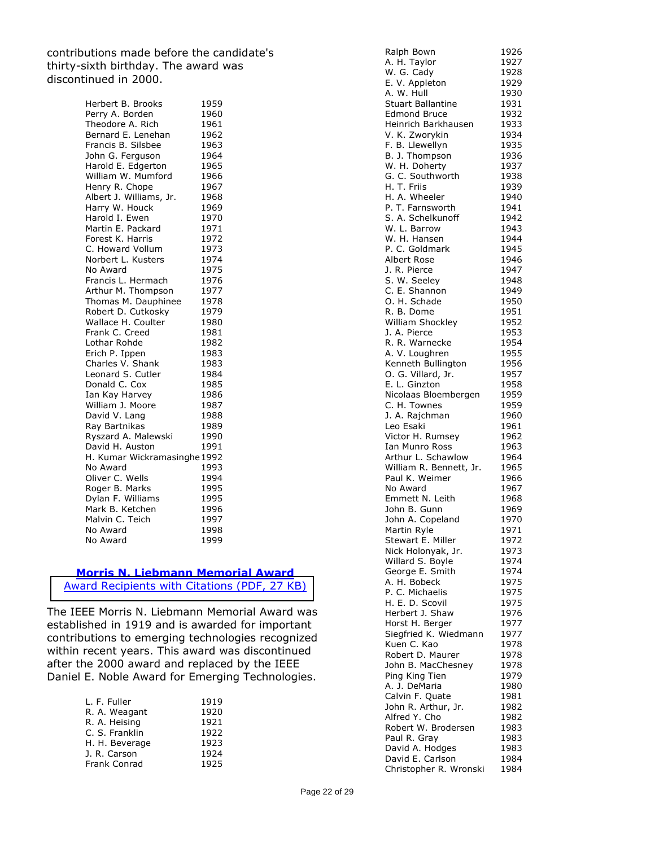contributions made before the candidate's thirty-sixth birthday. The award was discontinued in 2000.

> Herbert B. Brooks 1959 Perry A. Borden 1960 Theodore A. Rich 1961 Bernard E. Lenehan 1962 Francis B. Silsbee 1963 John G. Ferguson 1964 Harold E. Edgerton 1965 William W. Mumford 1966 Henry R. Chope 1967 Albert J. Williams, Jr. 1968 Harry W. Houck 1969 Harold I. Ewen 1970 Martin E. Packard 1971 Forest K. Harris 1972 C. Howard Vollum 1973 Norbert L. Kusters 1974 No Award 1975 Francis L. Hermach 1976 Arthur M. Thompson 1977 Thomas M. Dauphinee 1978 Robert D. Cutkosky 1979 Wallace H. Coulter 1980 Frank C. Creed 1981<br>
> Lothar Rohde 1982 Lothar Rohde 1982<br>Erich P. Ippen 1983 Erich P. Ippen Charles V. Shank 1983<br>Leonard S. Cutler 1984 Leonard S. Cutler 1984<br>Donald C. Cox 1985 Donald C. Cox Ian Kay Harvey 1986<br>William J. Moore 1987 William J. Moore David V. Lang 1988 Ray Bartnikas 1989 Ryszard A. Malewski 1990 David H. Auston 1991 H. Kumar Wickramasinghe1992 No Award 1993 Oliver C. Wells 1994 Roger B. Marks 1995 Dylan F. Williams 1995 Mark B. Ketchen 1996 Malvin C. Teich 1997 No Award 1998 No Award 1999

# **Morris N. Liebmann Memorial Award**

[Award Recipients with Citations \(PDF, 27 KB\)](https://corporate-awards.ieee.org/wp-content/uploads/liebmann_rl.pdf)

The IEEE Morris N. Liebmann Memorial Award was established in 1919 and is awarded for important contributions to emerging technologies recognized within recent years. This award was discontinued after the 2000 award and replaced by the IEEE Daniel E. Noble Award for Emerging Technologies.

| L. F. Fuller   | 1919 |
|----------------|------|
| R. A. Weagant  | 1920 |
| R. A. Heising  | 1921 |
| C. S. Franklin | 1922 |
| H. H. Beverage | 1923 |
| J. R. Carson   | 1924 |
| Frank Conrad   | 1925 |

| Ralph Bown               | 1926 |
|--------------------------|------|
| A. H. Taylor             | 1927 |
| W. G. Cady               | 1928 |
| E. V. Appleton           | 1929 |
| A. W. Hull               | 1930 |
| <b>Stuart Ballantine</b> | 1931 |
| <b>Edmond Bruce</b>      | 1932 |
| Heinrich Barkhausen      | 1933 |
| V. K. Zworykin           | 1934 |
|                          | 1935 |
| F. B. Llewellyn          |      |
| B. J. Thompson           | 1936 |
| W. H. Doherty            | 1937 |
| G. C. Southworth         | 1938 |
| H. T. Friis              | 1939 |
| H. A. Wheeler            | 1940 |
| P. T. Farnsworth         | 1941 |
| S. A. Schelkunoff        | 1942 |
| W. L. Barrow             | 1943 |
| W. H. Hansen             | 1944 |
| P. C. Goldmark           | 1945 |
| Albert Rose              | 1946 |
| J. R. Pierce             | 1947 |
| S. W. Seeley             | 1948 |
|                          |      |
| C. E. Shannon            | 1949 |
| O. H. Schade             | 1950 |
| R. B. Dome               | 1951 |
| William Shockley         | 1952 |
| J. A. Pierce             | 1953 |
| R. R. Warnecke           | 1954 |
| A. V. Loughren           | 1955 |
| Kenneth Bullington       | 1956 |
| O. G. Villard, Jr.       | 1957 |
| E. L. Ginzton            | 1958 |
| Nicolaas Bloembergen     | 1959 |
| C. H. Townes             | 1959 |
| J. A. Rajchman           | 1960 |
| Leo Esaki                | 1961 |
| Victor H. Rumsey         | 1962 |
| Ian Munro Ross           | 1963 |
|                          |      |
| Arthur L. Schawlow       | 1964 |
| William R. Bennett, Jr.  | 1965 |
| Paul K. Weimer           | 1966 |
| No Award                 | 1967 |
| Emmett N. Leith          | 1968 |
| John B. Gunn             | 1969 |
| John A. Copeland         | 1970 |
| Martin Ryle              | 1971 |
| Stewart E. Miller        | 1972 |
| Nick Holonyak, Jr.       | 1973 |
| Willard S. Boyle         | 1974 |
| George E. Smith          | 1974 |
| A. H. Bobeck             | 1975 |
| P. C. Michaelis          | 1975 |
| H. E. D. Scovil          | 1975 |
| Herbert J. Shaw          |      |
|                          | 1976 |
| Horst H. Berger          | 1977 |
| Siegfried K. Wiedmann    | 1977 |
| Kuen C. Kao              | 1978 |
| Robert D. Maurer         | 1978 |
| John B. MacChesney       | 1978 |
| Ping King Tien           | 1979 |
| A. J. DeMaria            | 1980 |
| Calvin F. Quate          | 1981 |
| John R. Arthur, Jr.      | 1982 |
| Alfred Y. Cho            | 1982 |
| Robert W. Brodersen      | 1983 |
| Paul R. Gray             | 1983 |
| David A. Hodges          | 1983 |
| David E. Carlson         | 1984 |
| Christopher R. Wronski   | 1984 |
|                          |      |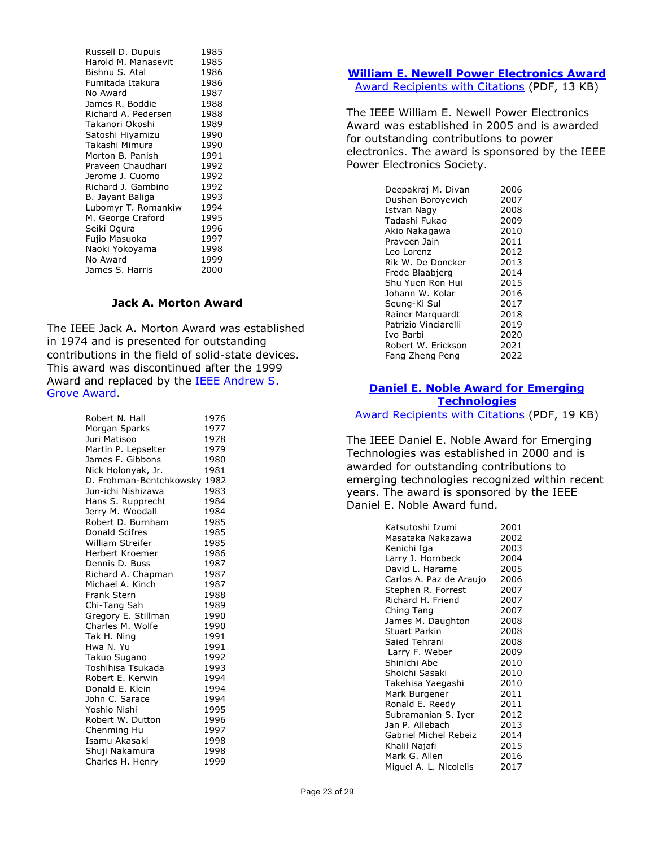| Russell D. Dupuis   | 1985 |
|---------------------|------|
| Harold M. Manasevit | 1985 |
| Bishnu S. Atal      | 1986 |
| Fumitada Itakura    | 1986 |
| No Award            | 1987 |
| James R. Boddie     | 1988 |
| Richard A. Pedersen | 1988 |
| Takanori Okoshi     | 1989 |
| Satoshi Hiyamizu    | 1990 |
| Takashi Mimura      | 1990 |
| Morton B. Panish    | 1991 |
| Praveen Chaudhari   | 1992 |
| Jerome J. Cuomo     | 1992 |
| Richard J. Gambino  | 1992 |
| B. Jayant Baliga    | 1993 |
| Lubomyr T. Romankiw | 1994 |
| M. George Craford   | 1995 |
| Seiki Ogura         | 1996 |
| Fujio Masuoka       | 1997 |
| Naoki Yokoyama      | 1998 |
| No Award            | 1999 |
| James S. Harris     | 2000 |

## **Jack A. Morton Award**

The IEEE Jack A. Morton Award was established in 1974 and is presented for outstanding contributions in the field of solid-state devices. This award was discontinued after the 1999 Award and replaced by the [IEEE Andrew S.](http://www.ieee.org/about/awards/tfas/grove.html)  [Grove Award.](http://www.ieee.org/about/awards/tfas/grove.html)

| Robert N. Hall          | 1976 |
|-------------------------|------|
| Morgan Sparks           | 1977 |
| Juri Matisoo            | 1978 |
| Martin P. Lepselter     | 1979 |
| James F. Gibbons        | 1980 |
| Nick Holonyak, Jr.      | 1981 |
| D. Frohman-Bentchkowsky | 1982 |
| Jun-ichi Nishizawa      | 1983 |
| Hans S. Rupprecht       | 1984 |
| Jerry M. Woodall        | 1984 |
| Robert D. Burnham       | 1985 |
| Donald Scifres          | 1985 |
| <b>William Streifer</b> | 1985 |
| Herbert Kroemer         | 1986 |
| Dennis D. Buss          | 1987 |
| Richard A. Chapman      | 1987 |
| Michael A. Kinch        | 1987 |
| <b>Frank Stern</b>      | 1988 |
| Chi-Tang Sah            | 1989 |
| Gregory E. Stillman     | 1990 |
| Charles M. Wolfe        | 1990 |
| Tak H. Ning             | 1991 |
| Hwa N. Yu               | 1991 |
| Takuo Sugano            | 1992 |
| Toshihisa Tsukada       | 1993 |
| Robert E. Kerwin        | 1994 |
| Donald E. Klein         | 1994 |
| John C. Sarace          | 1994 |
| Yoshio Nishi            | 1995 |
| Robert W. Dutton        | 1996 |
| Chenming Hu             | 1997 |
| Isamu Akasaki           | 1998 |
| Shuji Nakamura          | 1998 |
| Charles H. Henry        | 1999 |
|                         |      |

#### **[William E. Newell Power Electronics Award](https://corporate-awards.ieee.org/corporate-awards/#field-awards)**

[Award Recipients with Citations](https://www.ieee.org/content/dam/ieee-org/ieee/web/org/about/awards/recipients/newell-rl.pdf) (PDF, 13 KB)

The IEEE William E. Newell Power Electronics Award was established in 2005 and is awarded for outstanding contributions to power electronics. The award is sponsored by the IEEE Power Electronics Society.

| Deepakraj M. Divan   | 2006 |
|----------------------|------|
| Dushan Boroyevich    | 2007 |
| Istvan Nagy          | 2008 |
| Tadashi Fukao        | 2009 |
| Akio Nakagawa        | 2010 |
| Praveen Jain         | 2011 |
| Leo Lorenz           | 2012 |
| Rik W. De Doncker    | 2013 |
| Frede Blaabjerg      | 2014 |
| Shu Yuen Ron Hui     | 2015 |
| Johann W. Kolar      | 2016 |
| Seung-Ki Sul         | 2017 |
| Rainer Marquardt     | 2018 |
| Patrizio Vinciarelli | 2019 |
| Ivo Barbi            | 2020 |
| Robert W. Erickson   | 2021 |
| Fang Zheng Peng      | 2022 |

# **[Daniel E. Noble Award for Emerging](https://corporate-awards.ieee.org/corporate-awards/#field-awards)  [Technologies](https://corporate-awards.ieee.org/corporate-awards/#field-awards)**

[Award Recipients with Citations](https://corporate-awards.ieee.org/wp-content/uploads/noble-rlmm.pdf) (PDF, 19 KB)

The IEEE Daniel E. Noble Award for Emerging Technologies was established in 2000 and is awarded for outstanding contributions to emerging technologies recognized within recent years. The award is sponsored by the IEEE Daniel E. Noble Award fund.

| Katsutoshi Izumi        | 2001 |
|-------------------------|------|
| Masataka Nakazawa       | 2002 |
| Kenichi Iga             | 2003 |
| Larry J. Hornbeck       | 2004 |
| David L. Harame         | 2005 |
| Carlos A. Paz de Araujo | 2006 |
| Stephen R. Forrest      | 2007 |
| Richard H. Friend       | 2007 |
| Ching Tang              | 2007 |
| James M. Daughton       | 2008 |
| Stuart Parkin           | 2008 |
| Saied Tehrani           | 2008 |
| Larry F. Weber          | 2009 |
| Shinichi Abe            | 2010 |
| Shoichi Sasaki          | 2010 |
| Takehisa Yaegashi       | 2010 |
| Mark Burgener           | 2011 |
| Ronald E. Reedy         | 2011 |
| Subramanian S. Iyer     | 2012 |
| Jan P. Allebach         | 2013 |
| Gabriel Michel Rebeiz   | 2014 |
| Khalil Najafi           | 2015 |
| Mark G. Allen           | 2016 |
| Miguel A. L. Nicolelis  | 2017 |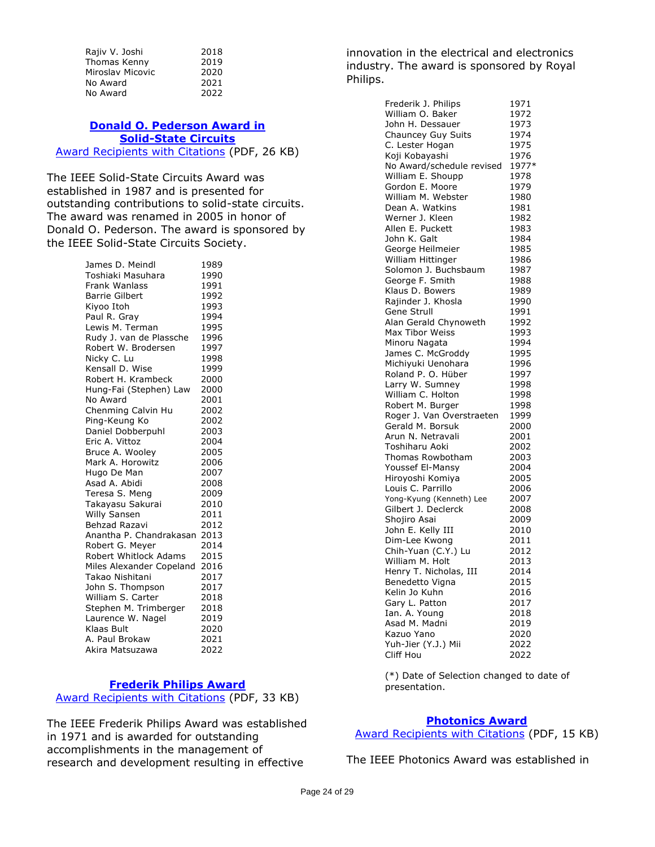| Rajiv V. Joshi   | 2018 |
|------------------|------|
| Thomas Kenny     | 2019 |
| Miroslav Micovic | 2020 |
| No Award         | 2021 |
| No Award         | 2022 |

#### **[Donald O. Pederson Award in](https://corporate-awards.ieee.org/corporate-awards/#field-awards)  [Solid-State Circuits](https://corporate-awards.ieee.org/corporate-awards/#field-awards)** [Award Recipients with Citations](https://www.ieee.org/content/dam/ieee-org/ieee/web/org/about/awards/recipients/pederson-rl.pdf) (PDF, 26 KB)

The IEEE Solid-State Circuits Award was established in 1987 and is presented for outstanding contributions to solid-state circuits. The award was renamed in 2005 in honor of Donald O. Pederson. The award is sponsored by the IEEE Solid-State Circuits Society.

> James D. Meindl 1989 Toshiaki Masuhara 1990 Frank Wanlass 1991 Barrie Gilbert 1992 Kiyoo Itoh 1993 Paul R. Gray 1994 Lewis M. Terman 1995 Rudy J. van de Plassche 1996 Robert W. Brodersen 1997 Nicky C. Lu 1998 Kensall D. Wise 1999 Robert H. Krambeck 2000 Hung-Fai (Stephen) Law 2000 No Award 2001 Chenming Calvin Hu 2002 Ping-Keung Ko 2002 Daniel Dobberpuhl 2003<br>Eric A. Vittoz 2004 Eric A. Vittoz <sup>2004</sup><br>Bruce A. Wooley 2005 Bruce A. Wooley Mark A. Horowitz 2006 Hugo De Man 2007<br>Asad A. Abidi 2008 Asad A. Abidi Teresa S. Meng 2009 Takayasu Sakurai 2010 Willy Sansen 2011 Behzad Razavi 2012 Anantha P. Chandrakasan 2013 Robert G. Mever Robert Whitlock Adams 2015 Miles Alexander Copeland 2016 Takao Nishitani 2017 John S. Thompson 2017 William S. Carter 2018 Stephen M. Trimberger 2018 Laurence W. Nagel 2019 Klaas Bult 2020 A. Paul Brokaw 2021 Akira Matsuzawa 2022

# **[Frederik Philips Award](https://corporate-awards.ieee.org/corporate-awards/#field-awards)**

[Award Recipients with Citations](https://www.ieee.org/content/dam/ieee-org/ieee/web/org/about/awards/recipients/philips-rl.pdf) (PDF, 33 KB)

The IEEE Frederik Philips Award was established in 1971 and is awarded for outstanding accomplishments in the management of research and development resulting in effective

innovation in the electrical and electronics industry. The award is sponsored by Royal Philips.

| Frederik J. Philips                      | 1971         |
|------------------------------------------|--------------|
| William O. Baker                         | 1972         |
| John H. Dessauer                         | 1973         |
| Chauncey Guy Suits                       | 1974         |
| C. Lester Hogan                          | 1975         |
| Koji Kobayashi                           | 1976         |
| No Award/schedule revised                | 1977*        |
| William E. Shoupp                        | 1978         |
| Gordon E. Moore                          | 1979         |
| William M. Webster                       | 1980         |
| Dean A. Watkins                          | 1981         |
| Werner J. Kleen                          | 1982         |
| Allen E. Puckett                         | 1983         |
| John K. Galt                             | 1984         |
| George Heilmeier                         | 1985         |
| William Hittinger                        | 1986         |
| Solomon J. Buchsbaum                     | 1987         |
|                                          |              |
| George F. Smith                          | 1988         |
| Klaus D. Bowers<br>Rajinder J. Khosla    | 1989         |
| Gene Strull                              | 1990         |
|                                          | 1991         |
| Alan Gerald Chynoweth                    | 1992         |
| Max Tibor Weiss                          | 1993         |
| Minoru Nagata                            | 1994         |
| James C. McGroddy                        | 1995         |
| Michiyuki Uenohara<br>Roland P. O. Hüber | 1996         |
| Larry W. Sumney                          | 1997         |
| William C. Holton                        | 1998<br>1998 |
| Robert M. Burger                         | 1998         |
| Roger J. Van Overstraeten                | 1999         |
| Gerald M. Borsuk                         | 2000         |
| Arun N. Netravali                        | 2001         |
| Toshiharu Aoki                           | 2002         |
| Thomas Rowbotham                         | 2003         |
| Youssef El-Mansy                         | 2004         |
| Hiroyoshi Komiya                         | 2005         |
| Louis C. Parrillo                        | 2006         |
| Yong-Kyung (Kenneth) Lee                 | 2007         |
| Gilbert J. Declerck                      | 2008         |
| Shojiro Asai                             | 2009         |
| John E. Kelly III                        | 2010         |
| Dim-Lee Kwong                            | 2011         |
| Chih-Yuan (C.Y.) Lu                      | 2012         |
| William M. Holt                          | 2013         |
| Henry T. Nicholas, III                   | 2014         |
| Benedetto Vigna                          | 2015         |
| Kelin Jo Kuhn                            | 2016         |
| Gary L. Patton                           | 2017         |
| Ian. A. Young                            | 2018         |
| Asad M. Madni                            | 2019         |
| Kazuo Yano                               | 2020         |
| Yuh-Jier (Y.J.) Mii                      | 2022         |
| Cliff Hou                                | 2022         |

(\*) Date of Selection changed to date of presentation.

# **[Photonics Award](https://corporate-awards.ieee.org/corporate-awards/#field-awards)**

[Award Recipients with](https://www.ieee.org/content/dam/ieee-org/ieee/web/org/about/awards/recipients/photonics-rl.pdf) Citations (PDF, 15 KB)

The IEEE Photonics Award was established in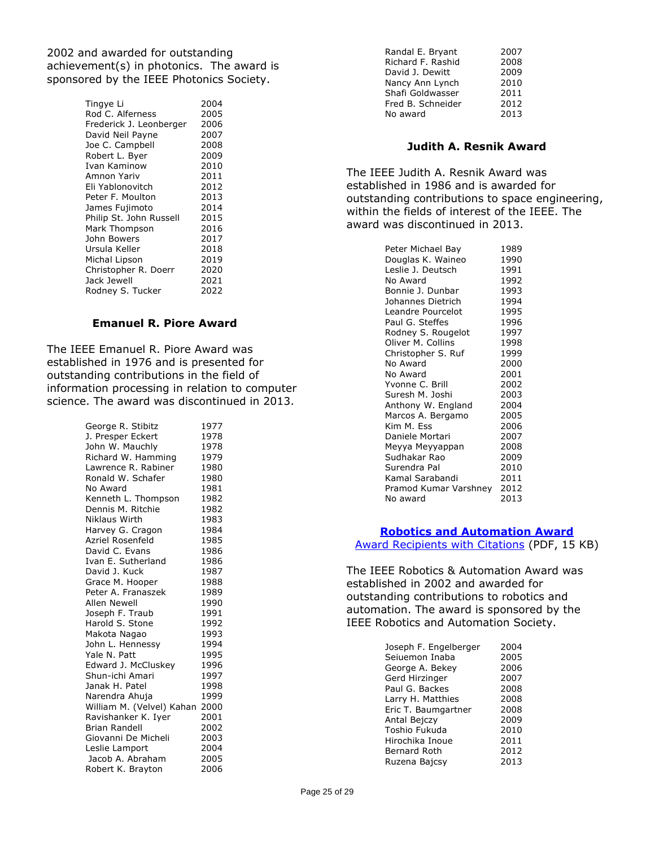2002 and awarded for outstanding achievement(s) in photonics. The award is sponsored by the IEEE Photonics Society.

| Tingye Li               | 2004 |
|-------------------------|------|
| Rod C. Alferness        | 2005 |
| Frederick J. Leonberger | 2006 |
| David Neil Payne        | 2007 |
| Joe C. Campbell         | 2008 |
| Robert L. Byer          | 2009 |
| Ivan Kaminow            | 2010 |
| Amnon Yariv             | 2011 |
| Eli Yablonovitch        | 2012 |
| Peter F. Moulton        | 2013 |
| James Fujimoto          | 2014 |
| Philip St. John Russell | 2015 |
| Mark Thompson           | 2016 |
| John Bowers             | 2017 |
| Ursula Keller           | 2018 |
| Michal Lipson           | 2019 |
| Christopher R. Doerr    | 2020 |
| Jack Jewell             | 2021 |
| Rodney S. Tucker        | 2022 |
|                         |      |

#### **Emanuel R. Piore Award**

The IEEE Emanuel R. Piore Award was established in 1976 and is presented for outstanding contributions in the field of information processing in relation to computer science. The award was discontinued in 2013.

> George R. Stibitz 1977 J. Presper Eckert 1978 John W. Mauchly 1978 Richard W. Hamming 1979 Lawrence R. Rabiner 1980 Ronald W. Schafer 1980 No Award 1981 Kenneth L. Thompson 1982 Dennis M. Ritchie 1982 Niklaus Wirth 1983 Harvey G. Cragon 1984 Azriel Rosenfeld 1985 David C. Evans 1986 Ivan E. Sutherland 1986 David J. Kuck 1987 Grace M. Hooper 1988 Peter A. Franaszek 1989<br>Allen Newell 1990 Allen Newell<br>
> Joseph F. Traub 1991 Joseph F. Traub Harold S. Stone 1992<br>Makota Nagao 1993 Makota Nagao 1993<br>John L. Hennessy 1994 John L. Hennessy Yale N. Patt<br>Edward J. McCluskey 1996 Edward J. McCluskey 1996<br>Shun-ichi Amari 1997 Shun-ichi Amari Janak H. Patel 1998 Narendra Ahuja 1999 William M. (Velvel) Kahan 2000 Ravishanker K. Iyer 2001 Brian Randell 2002 Giovanni De Micheli 2003 Leslie Lamport 2004 Jacob A. Abraham 2005 Robert K. Brayton 2006

| Randal E. Bryant  | 2007 |
|-------------------|------|
| Richard F. Rashid | 2008 |
| David J. Dewitt   | 2009 |
| Nancy Ann Lynch   | 2010 |
| Shafi Goldwasser  | 2011 |
| Fred B. Schneider | 2012 |
| No award          | 2013 |
|                   |      |

#### **Judith A. Resnik Award**

The IEEE Judith A. Resnik Award was established in 1986 and is awarded for outstanding contributions to space engineering, within the fields of interest of the IEEE. The award was discontinued in 2013.

| Peter Michael Bay     | 1989 |
|-----------------------|------|
| Douglas K. Waineo     | 1990 |
| Leslie J. Deutsch     | 1991 |
| No Award              | 1992 |
| Bonnie J. Dunbar      | 1993 |
| Johannes Dietrich     | 1994 |
| Leandre Pourcelot     | 1995 |
| Paul G. Steffes       | 1996 |
| Rodney S. Rougelot    | 1997 |
| Oliver M. Collins     | 1998 |
| Christopher S. Ruf    | 1999 |
| No Award              | 2000 |
| No Award              | 2001 |
| Yvonne C. Brill       | 2002 |
| Suresh M. Joshi       | 2003 |
| Anthony W. England    | 2004 |
| Marcos A. Bergamo     | 2005 |
| Kim M. Fss            | 2006 |
| Daniele Mortari       | 2007 |
| Meyya Meyyappan       | 2008 |
| Sudhakar Rao          | 2009 |
| Surendra Pal          | 2010 |
| Kamal Sarabandi       | 2011 |
| Pramod Kumar Varshney | 2012 |
| No award              | 2013 |

#### **[Robotics and Automation Award](https://corporate-awards.ieee.org/corporate-awards/#field-awards)**

[Award Recipients with Citations](https://www.ieee.org/content/dam/ieee-org/ieee/web/org/about/awards/recipients/robotics-rl.pdf) (PDF, 15 KB)

The IEEE Robotics & Automation Award was established in 2002 and awarded for outstanding contributions to robotics and automation. The award is sponsored by the IEEE Robotics and Automation Society.

| Joseph F. Engelberger | 2004 |
|-----------------------|------|
| Seiuemon Inaba        | 2005 |
| George A. Bekey       | 2006 |
| Gerd Hirzinger        | 2007 |
| Paul G. Backes        | 2008 |
| Larry H. Matthies     | 2008 |
| Eric T. Baumgartner   | 2008 |
| Antal Bejczy          | 2009 |
| Toshio Fukuda         | 2010 |
| Hirochika Inoue       | 2011 |
| Bernard Roth          | 2012 |
| Ruzena Bajcsy         | 2013 |
|                       |      |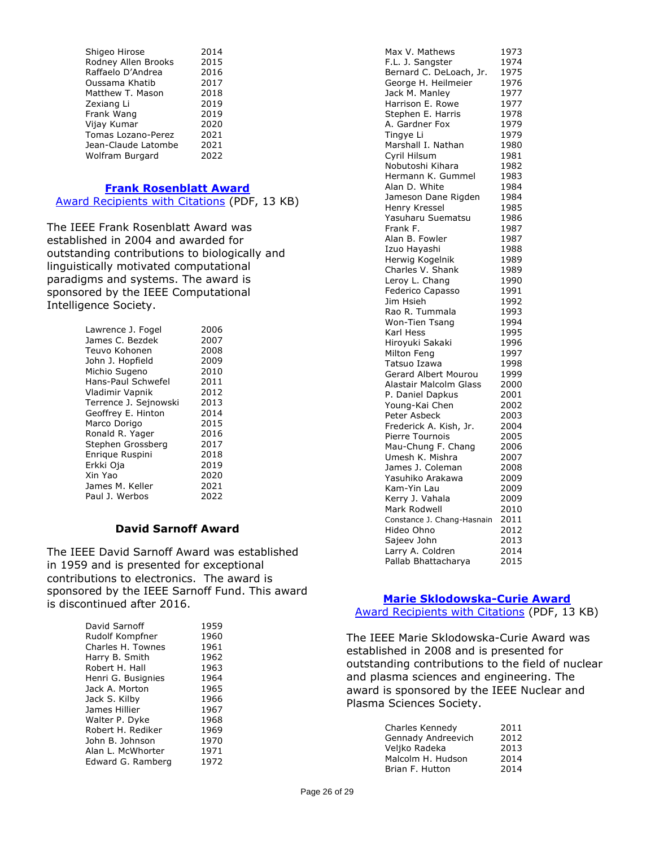| Shigeo Hirose       | 2014 |
|---------------------|------|
| Rodney Allen Brooks | 2015 |
| Raffaelo D'Andrea   | 2016 |
| Oussama Khatib      | 2017 |
| Matthew T. Mason    | 2018 |
| Zexiang Li          | 2019 |
| Frank Wang          | 2019 |
| Vijay Kumar         | 2020 |
| Tomas Lozano-Perez  | 2021 |
| Jean-Claude Latombe | 2021 |
| Wolfram Burgard     | 2022 |

#### **[Frank Rosenblatt Award](https://corporate-awards.ieee.org/corporate-awards/#field-awards)**

[Award Recipients with Citations](https://www.ieee.org/content/dam/ieee-org/ieee/web/org/about/awards/recipients/rosenblatt-rl.pdf) (PDF, 13 KB)

The IEEE Frank Rosenblatt Award was established in 2004 and awarded for outstanding contributions to biologically and linguistically motivated computational paradigms and systems. The award is sponsored by the IEEE Computational Intelligence Society.

| Lawrence J. Fogel     | 2006 |
|-----------------------|------|
| James C. Bezdek       | 2007 |
| Teuvo Kohonen         | 2008 |
| John J. Hopfield      | 2009 |
| Michio Sugeno         | 2010 |
| Hans-Paul Schwefel    | 2011 |
| Vladimir Vapnik       | 2012 |
| Terrence J. Sejnowski | 2013 |
| Geoffrey E. Hinton    | 2014 |
| Marco Dorigo          | 2015 |
| Ronald R. Yager       | 2016 |
| Stephen Grossberg     | 2017 |
| Enrigue Ruspini       | 2018 |
| Erkki Oja             | 2019 |
| Xin Yao               | 2020 |
| James M. Keller       | 2021 |
| Paul J. Werbos        | 2022 |

#### **David Sarnoff Award**

The IEEE David Sarnoff Award was established in 1959 and is presented for exceptional contributions to electronics. The award is sponsored by the IEEE Sarnoff Fund. This award is discontinued after 2016.

| David Sarnoff      | 1959 |
|--------------------|------|
| Rudolf Kompfner    | 1960 |
| Charles H. Townes  | 1961 |
| Harry B. Smith     | 1962 |
| Robert H. Hall     | 1963 |
| Henri G. Busignies | 1964 |
| Jack A. Morton     | 1965 |
| Jack S. Kilby      | 1966 |
| James Hillier      | 1967 |
| Walter P. Dyke     | 1968 |
| Robert H. Rediker  | 1969 |
| John B. Johnson    | 1970 |
| Alan L. McWhorter  | 1971 |
| Edward G. Ramberg  | 1972 |

| Max V. Mathews             | 1973 |
|----------------------------|------|
| F.L. J. Sangster           | 1974 |
| Bernard C. DeLoach, Jr.    | 1975 |
| George H. Heilmeier        | 1976 |
| Jack M. Manley             | 1977 |
| Harrison E. Rowe           | 1977 |
| Stephen E. Harris          | 1978 |
| A. Gardner Fox             | 1979 |
| Tingye Li                  | 1979 |
| Marshall I. Nathan         | 1980 |
| Cyril Hilsum               | 1981 |
| Nobutoshi Kihara           | 1982 |
| Hermann K. Gummel          | 1983 |
| Alan D. White              | 1984 |
| Jameson Dane Rigden        | 1984 |
| Henry Kressel              | 1985 |
| Yasuharu Suematsu          | 1986 |
| Frank F.                   | 1987 |
| Alan B. Fowler             | 1987 |
| Izuo Hayashi               | 1988 |
| Herwig Kogelnik            | 1989 |
| Charles V. Shank           | 1989 |
| Leroy L. Chang             | 1990 |
| Federico Capasso           | 1991 |
| Jim Hsieh                  | 1992 |
| Rao R. Tummala             | 1993 |
| Won-Tien Tsang             | 1994 |
| Karl Hess                  | 1995 |
| Hiroyuki Sakaki            | 1996 |
| Milton Feng                | 1997 |
| Tatsuo Izawa               | 1998 |
| Gerard Albert Mourou       | 1999 |
| Alastair Malcolm Glass     | 2000 |
| P. Daniel Dapkus           | 2001 |
| Young-Kai Chen             | 2002 |
| Peter Asbeck               | 2003 |
| Frederick A. Kish, Jr.     | 2004 |
| Pierre Tournois            | 2005 |
| Mau-Chung F. Chang         | 2006 |
| Umesh K. Mishra            | 2007 |
| James J. Coleman           | 2008 |
| Yasuhiko Arakawa           | 2009 |
| Kam-Yin Lau                | 2009 |
| Kerry J. Vahala            | 2009 |
| Mark Rodwell               | 2010 |
| Constance J. Chang-Hasnain | 2011 |
| Hideo Ohno                 | 2012 |
| Sajeev John                | 2013 |
| Larry A. Coldren           | 2014 |
| Pallab Bhattacharya        | 2015 |
|                            |      |

# **[Marie Sklodowska-Curie Award](https://corporate-awards.ieee.org/corporate-awards/#field-awards)**

[Award Recipients with Citations](https://www.ieee.org/content/dam/ieee-org/ieee/web/org/about/awards/recipients/curie-rl.pdf) (PDF, 13 KB)

The IEEE Marie Sklodowska-Curie Award was established in 2008 and is presented for outstanding contributions to the field of nuclear and plasma sciences and engineering. The award is sponsored by the IEEE Nuclear and Plasma Sciences Society.

| Charles Kennedy    | 2011 |
|--------------------|------|
| Gennady Andreevich | 2012 |
| Veljko Radeka      | 2013 |
| Malcolm H. Hudson  | 2014 |
| Brian F. Hutton    | 2014 |
|                    |      |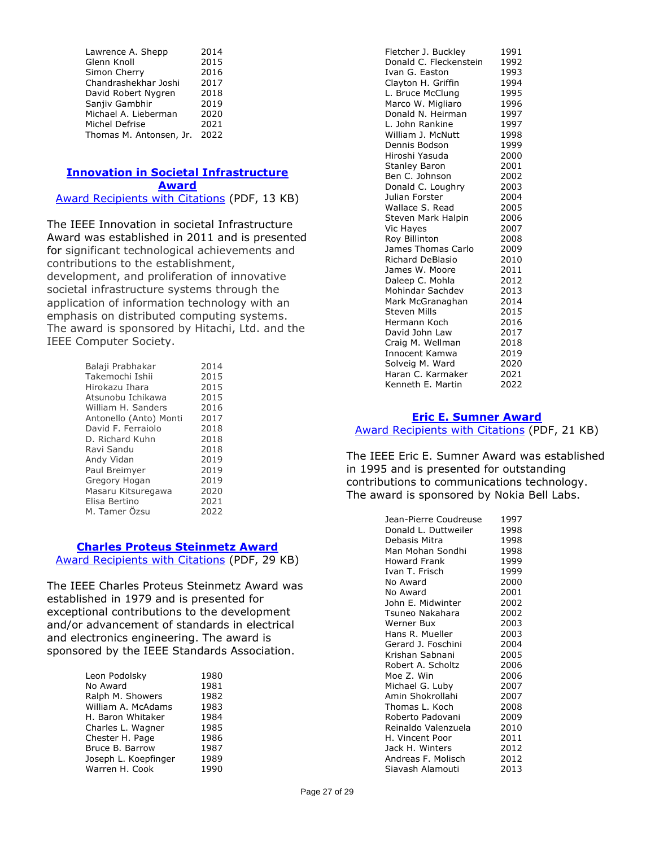| Lawrence A. Shepp       | 2014 |
|-------------------------|------|
| Glenn Knoll             | 2015 |
| Simon Cherry            | 2016 |
| Chandrashekhar Joshi    | 2017 |
| David Robert Nygren     | 2018 |
| Sanjiv Gambhir          | 2019 |
| Michael A. Lieberman    | 2020 |
| Michel Defrise          | 2021 |
| Thomas M. Antonsen, Jr. | 2022 |
|                         |      |

#### **[Innovation in Societal Infrastructure](https://corporate-awards.ieee.org/corporate-awards/#field-awards)  [Award](https://corporate-awards.ieee.org/corporate-awards/#field-awards)** [Award Recipients with Citations](https://www.ieee.org/content/dam/ieee-org/ieee/web/org/about/awards/recipients/societal-infrastructure-recipients.pdf) (PDF, 13 KB)

The IEEE Innovation in societal Infrastructure Award was established in 2011 and is presented for significant technological achievements and contributions to the establishment, development, and proliferation of innovative societal infrastructure systems through the application of information technology with an emphasis on distributed computing systems. The award is sponsored by Hitachi, Ltd. and the IEEE Computer Society.

| Balaji Prabhakar       | 2014 |
|------------------------|------|
| Takemochi Ishii        | 2015 |
| Hirokazu Ihara         | 2015 |
| Atsunobu Ichikawa      | 2015 |
| William H. Sanders     | 2016 |
| Antonello (Anto) Monti | 2017 |
| David F. Ferraiolo     | 2018 |
| D. Richard Kuhn        | 2018 |
| Ravi Sandu             | 2018 |
| Andy Vidan             | 2019 |
| Paul Breimyer          | 2019 |
| Gregory Hogan          | 2019 |
| Masaru Kitsuregawa     | 2020 |
| Elisa Bertino          | 2021 |
| M. Tamer Özsu          | 2022 |
|                        |      |

# **[Charles Proteus Steinmetz Award](https://corporate-awards.ieee.org/corporate-awards/#field-awards)**

[Award Recipients with Citations](https://www.ieee.org/content/dam/ieee-org/ieee/web/org/about/awards/recipients/steinmetz-rl.pdf) (PDF, 29 KB)

The IEEE Charles Proteus Steinmetz Award was established in 1979 and is presented for exceptional contributions to the development and/or advancement of standards in electrical and electronics engineering. The award is sponsored by the IEEE Standards Association.

| Leon Podolsky        | 1980 |
|----------------------|------|
| No Award             | 1981 |
| Ralph M. Showers     | 1982 |
| William A. McAdams   | 1983 |
| H. Baron Whitaker    | 1984 |
| Charles L. Wagner    | 1985 |
| Chester H. Page      | 1986 |
| Bruce B. Barrow      | 1987 |
| Joseph L. Koepfinger | 1989 |
| Warren H. Cook       | 1990 |

| Fletcher J. Buckley     | 1991 |
|-------------------------|------|
| Donald C. Fleckenstein  | 1992 |
| Ivan G. Easton          | 1993 |
| Clayton H. Griffin      | 1994 |
| L. Bruce McClung        | 1995 |
| Marco W. Migliaro       | 1996 |
| Donald N. Heirman       | 1997 |
| L. John Rankine         | 1997 |
| William J. McNutt       | 1998 |
| Dennis Bodson           | 1999 |
| Hiroshi Yasuda          | 2000 |
| <b>Stanley Baron</b>    | 2001 |
| Ben C. Johnson          | 2002 |
| Donald C. Loughry       | 2003 |
| Julian Forster          | 2004 |
| Wallace S. Read         | 2005 |
| Steven Mark Halpin      | 2006 |
| Vic Hayes               | 2007 |
| Roy Billinton           | 2008 |
| James Thomas Carlo      | 2009 |
| <b>Richard DeBlasio</b> | 2010 |
| James W. Moore          | 2011 |
| Daleep C. Mohla         | 2012 |
| Mohindar Sachdev        | 2013 |
| Mark McGranaghan        | 2014 |
| <b>Steven Mills</b>     | 2015 |
| Hermann Koch            | 2016 |
| David John Law          | 2017 |
| Craig M. Wellman        | 2018 |
| Innocent Kamwa          | 2019 |
| Solveig M. Ward         | 2020 |
| Haran C. Karmaker       | 2021 |
| Kenneth E. Martin       | 2022 |

# **[Eric E. Sumner Award](https://corporate-awards.ieee.org/corporate-awards/#field-awards)**

[Award Recipients with Citations](https://www.ieee.org/content/dam/ieee-org/ieee/web/org/about/awards/recipients/sumner-rl.pdf) (PDF, 21 KB)

The IEEE Eric E. Sumner Award was established in 1995 and is presented for outstanding contributions to communications technology. The award is sponsored by Nokia Bell Labs.

| Jean-Pierre Coudreuse | 1997 |
|-----------------------|------|
| Donald L. Duttweiler  | 1998 |
| Debasis Mitra         | 1998 |
| Man Mohan Sondhi      | 1998 |
| Howard Frank          | 1999 |
| Ivan T. Frisch        | 1999 |
| No Award              | 2000 |
| No Award              | 2001 |
| John E. Midwinter     | 2002 |
| Tsuneo Nakahara       | 2002 |
| Werner Bux            | 2003 |
| Hans R. Mueller       | 2003 |
| Gerard J. Foschini    | 2004 |
| Krishan Sabnani       | 2005 |
| Robert A. Scholtz     | 2006 |
| Moe Z. Win            | 2006 |
| Michael G. Luby       | 2007 |
| Amin Shokrollahi      | 2007 |
| Thomas L. Koch        | 2008 |
| Roberto Padovani      | 2009 |
| Reinaldo Valenzuela   | 2010 |
| H. Vincent Poor       | 2011 |
| Jack H. Winters       | 2012 |
| Andreas F. Molisch    | 2012 |
| Siavash Alamouti      | 2013 |
|                       |      |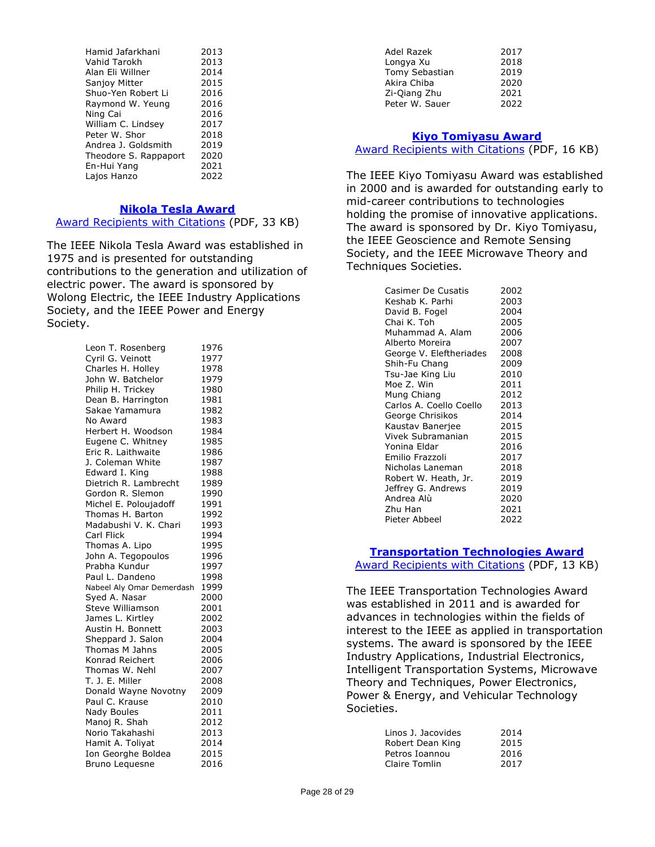| Hamid Jafarkhani      | 2013 |
|-----------------------|------|
| Vahid Tarokh          | 2013 |
| Alan Eli Willner      | 2014 |
| Sanjoy Mitter         | 2015 |
| Shuo-Yen Robert Li    | 2016 |
| Raymond W. Yeung      | 2016 |
| Ning Cai              | 2016 |
| William C. Lindsey    | 2017 |
| Peter W. Shor         | 2018 |
| Andrea J. Goldsmith   | 2019 |
| Theodore S. Rappaport | 2020 |
| En-Hui Yang           | 2021 |
| Lajos Hanzo           | 2022 |

#### **[Nikola Tesla Award](https://corporate-awards.ieee.org/corporate-awards/#field-awards)**

[Award Recipients with Citations](https://www.ieee.org/content/dam/ieee-org/ieee/web/org/about/awards/recipients/tesla-rl.pdf) (PDF, 33 KB)

The IEEE Nikola Tesla Award was established in 1975 and is presented for outstanding contributions to the generation and utilization of electric power. The award is sponsored by Wolong Electric, the IEEE Industry Applications Society, and the IEEE Power and Energy Society.

| Leon T. Rosenberg         | 1976 |
|---------------------------|------|
| Cyril G. Veinott          | 1977 |
| Charles H. Holley         | 1978 |
| John W. Batchelor         | 1979 |
| Philip H. Trickey         | 1980 |
| Dean B. Harrington        | 1981 |
| Sakae Yamamura            | 1982 |
| No Award                  | 1983 |
| Herbert H. Woodson        | 1984 |
| Eugene C. Whitney         | 1985 |
| Eric R. Laithwaite        | 1986 |
| J. Coleman White          | 1987 |
| Edward I. King            | 1988 |
| Dietrich R. Lambrecht     | 1989 |
| Gordon R. Slemon          | 1990 |
| Michel E. Poloujadoff     | 1991 |
| Thomas H. Barton          | 1992 |
| Madabushi V. K. Chari     | 1993 |
| Carl Flick                | 1994 |
| Thomas A. Lipo            | 1995 |
| John A. Tegopoulos        | 1996 |
| Prabha Kundur             | 1997 |
| Paul L. Dandeno           | 1998 |
| Nabeel Aly Omar Demerdash | 1999 |
| Syed A. Nasar             | 2000 |
| Steve Williamson          | 2001 |
| James L. Kirtley          | 2002 |
| Austin H. Bonnett         | 2003 |
| Sheppard J. Salon         | 2004 |
| Thomas M Jahns            | 2005 |
| Konrad Reichert           | 2006 |
| Thomas W. Nehl            | 2007 |
| T. J. E. Miller           | 2008 |
| Donald Wayne Novotny      | 2009 |
| Paul C. Krause            | 2010 |
| Nady Boules               | 2011 |
| Manoj R. Shah             | 2012 |
| Norio Takahashi           | 2013 |
| Hamit A. Toliyat          | 2014 |
| Ion Georghe Boldea        | 2015 |
| Bruno Lequesne            | 2016 |

| Adel Razek     | 2017 |
|----------------|------|
| Longya Xu      | 2018 |
| Tomy Sebastian | 2019 |
| Akira Chiba    | 2020 |
| Zi-Qiang Zhu   | 2021 |
| Peter W. Sauer | 2022 |
|                |      |

#### **[Kiyo Tomiyasu Award](https://corporate-awards.ieee.org/corporate-awards/#field-awards)**

**[Award Recipients with Citations](https://www.ieee.org/content/dam/ieee-org/ieee/web/org/about/awards/recipients/tomiyasu-rl.pdf) (PDF, 16 KB)** 

The IEEE Kiyo Tomiyasu Award was established in 2000 and is awarded for outstanding early to mid-career contributions to technologies holding the promise of innovative applications. The award is sponsored by Dr. Kiyo Tomiyasu, the IEEE Geoscience and Remote Sensing Society, and the IEEE Microwave Theory and Techniques Societies.

| 2002 |
|------|
| 2003 |
| 2004 |
| 2005 |
| 2006 |
| 2007 |
| 2008 |
| 2009 |
| 2010 |
| 2011 |
| 2012 |
| 2013 |
| 2014 |
| 2015 |
| 2015 |
| 2016 |
| 2017 |
| 2018 |
| 2019 |
| 2019 |
| 2020 |
| 2021 |
| 2022 |
|      |

#### **[Transportation Technologies Award](https://corporate-awards.ieee.org/corporate-awards/#field-awards)**

[Award Recipients with Citations](https://www.ieee.org/content/dam/ieee-org/ieee/web/org/about/awards/recipients/transportation-technologies-recipients.pdf) (PDF, 13 KB)

The IEEE Transportation Technologies Award was established in 2011 and is awarded for advances in technologies within the fields of interest to the IEEE as applied in transportation systems. The award is sponsored by the IEEE Industry Applications, Industrial Electronics, Intelligent Transportation Systems, Microwave Theory and Techniques, Power Electronics, Power & Energy, and Vehicular Technology Societies.

| Linos J. Jacovides | 2014 |
|--------------------|------|
| Robert Dean King   | 2015 |
| Petros Ioannou     | 2016 |
| Claire Tomlin      | 2017 |
|                    |      |